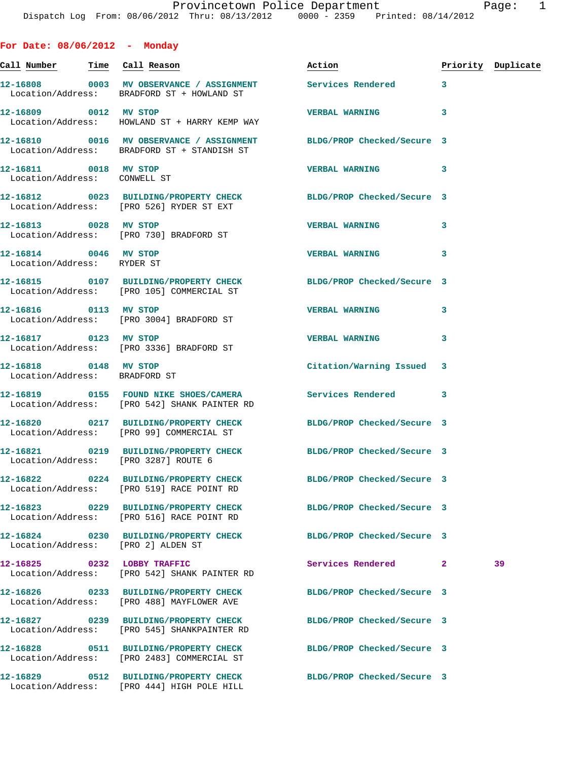**For Date: 08/06/2012 - Monday Call Number Time Call Reason Action Priority Duplicate 12-16808 0003 MV OBSERVANCE / ASSIGNMENT Services Rendered 3**  Location/Address: BRADFORD ST + HOWLAND ST **12-16809 0012 MV STOP VERBAL WARNING 3**  Location/Address: HOWLAND ST + HARRY KEMP WAY **12-16810 0016 MV OBSERVANCE / ASSIGNMENT BLDG/PROP Checked/Secure 3**  Location/Address: BRADFORD ST + STANDISH ST **12-16811 0018 MV STOP VERBAL WARNING 3**  Location/Address: CONWELL ST **12-16812 0023 BUILDING/PROPERTY CHECK BLDG/PROP Checked/Secure 3**  Location/Address: [PRO 526] RYDER ST EXT **12-16813 0028 MV STOP VERBAL WARNING 3**  Location/Address: [PRO 730] BRADFORD ST **12-16814 0046 MV STOP VERBAL WARNING 3**  Location/Address: RYDER ST **12-16815 0107 BUILDING/PROPERTY CHECK BLDG/PROP Checked/Secure 3**  Location/Address: [PRO 105] COMMERCIAL ST **12-16816 0113 MV STOP VERBAL WARNING 3**  Location/Address: [PRO 3004] BRADFORD ST **12-16817 0123 MV STOP VERBAL WARNING 3**  Location/Address: [PRO 3336] BRADFORD ST **12-16818 0148 MV STOP Citation/Warning Issued 3**  Location/Address: BRADFORD ST **12-16819 0155 FOUND NIKE SHOES/CAMERA Services Rendered 3**  Location/Address: [PRO 542] SHANK PAINTER RD **12-16820 0217 BUILDING/PROPERTY CHECK BLDG/PROP Checked/Secure 3**  Location/Address: [PRO 99] COMMERCIAL ST **12-16821 0219 BUILDING/PROPERTY CHECK BLDG/PROP Checked/Secure 3**  Location/Address: [PRO 3287] ROUTE 6 **12-16822 0224 BUILDING/PROPERTY CHECK BLDG/PROP Checked/Secure 3**  Location/Address: [PRO 519] RACE POINT RD **12-16823 0229 BUILDING/PROPERTY CHECK BLDG/PROP Checked/Secure 3**  Location/Address: [PRO 516] RACE POINT RD **12-16824 0230 BUILDING/PROPERTY CHECK BLDG/PROP Checked/Secure 3**  Location/Address: [PRO 2] ALDEN ST **12-16825 0232 LOBBY TRAFFIC Services Rendered 2 39**  Location/Address: [PRO 542] SHANK PAINTER RD **12-16826 0233 BUILDING/PROPERTY CHECK BLDG/PROP Checked/Secure 3**  Location/Address: [PRO 488] MAYFLOWER AVE

Location/Address: [PRO 545] SHANKPAINTER RD

**12-16827 0239 BUILDING/PROPERTY CHECK BLDG/PROP Checked/Secure 3** 

**12-16828 0511 BUILDING/PROPERTY CHECK BLDG/PROP Checked/Secure 3**  Location/Address: [PRO 2483] COMMERCIAL ST

**12-16829 0512 BUILDING/PROPERTY CHECK BLDG/PROP Checked/Secure 3**  Location/Address: [PRO 444] HIGH POLE HILL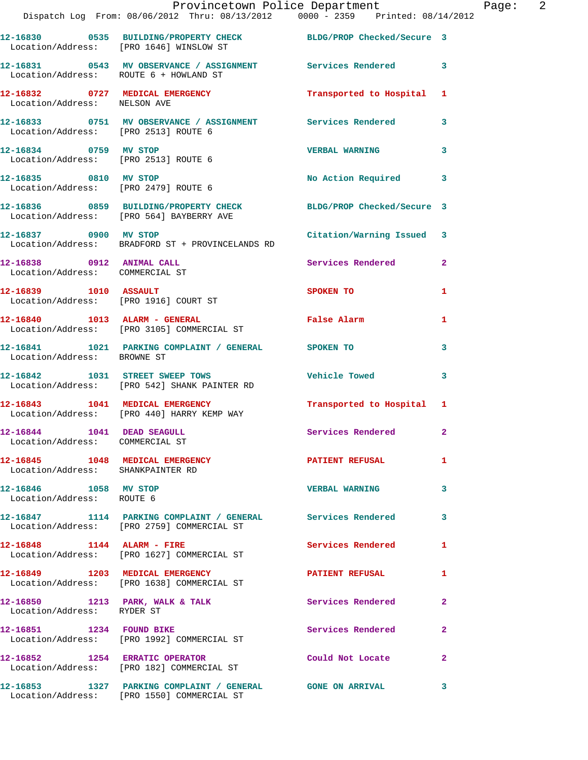|                                                               | Provincetown Police Department<br>Dispatch Log From: 08/06/2012 Thru: 08/13/2012 0000 - 2359 Printed: 08/14/2012 |                           |                |
|---------------------------------------------------------------|------------------------------------------------------------------------------------------------------------------|---------------------------|----------------|
|                                                               | 12-16830 0535 BUILDING/PROPERTY CHECK BLDG/PROP Checked/Secure 3<br>Location/Address: [PRO 1646] WINSLOW ST      |                           |                |
| Location/Address: ROUTE 6 + HOWLAND ST                        | 12-16831 0543 MV OBSERVANCE / ASSIGNMENT Services Rendered 3                                                     |                           |                |
| Location/Address: NELSON AVE                                  | 12-16832 0727 MEDICAL EMERGENCY                                                                                  | Transported to Hospital 1 |                |
| Location/Address: [PRO 2513] ROUTE 6                          | 12-16833 0751 MV OBSERVANCE / ASSIGNMENT Services Rendered                                                       |                           | 3              |
| 12-16834 0759 MV STOP<br>Location/Address: [PRO 2513] ROUTE 6 |                                                                                                                  | <b>VERBAL WARNING</b>     | 3              |
| 12-16835 0810 MV STOP                                         | Location/Address: [PRO 2479] ROUTE 6                                                                             | No Action Required 3      |                |
|                                                               | 12-16836 0859 BUILDING/PROPERTY CHECK BLDG/PROP Checked/Secure 3<br>Location/Address: [PRO 564] BAYBERRY AVE     |                           |                |
| 12-16837 0900 MV STOP                                         | Location/Address: BRADFORD ST + PROVINCELANDS RD                                                                 | Citation/Warning Issued 3 |                |
| 12-16838 0912 ANIMAL CALL<br>Location/Address: COMMERCIAL ST  |                                                                                                                  | Services Rendered         | $\overline{2}$ |
|                                                               | 12-16839 1010 ASSAULT<br>Location/Address: [PRO 1916] COURT ST                                                   | SPOKEN TO                 | 1              |
|                                                               | 12-16840    1013    ALARM - GENERAL<br>Location/Address: [PRO 3105] COMMERCIAL ST                                | <b>False Alarm</b>        | 1              |
| Location/Address: BROWNE ST                                   | 12-16841 1021 PARKING COMPLAINT / GENERAL SPOKEN TO                                                              |                           | 3              |
|                                                               | 12-16842 1031 STREET SWEEP TOWS<br>Location/Address: [PRO 542] SHANK PAINTER RD                                  | <b>Vehicle Towed</b>      | $\mathbf{3}$   |
|                                                               | 12-16843 1041 MEDICAL EMERGENCY<br>Location/Address: [PRO 440] HARRY KEMP WAY                                    | Transported to Hospital 1 |                |
| 12-16844 1041 DEAD SEAGULL<br>Location/Address: COMMERCIAL ST |                                                                                                                  | Services Rendered         | 2              |
| Location/Address: SHANKPAINTER RD                             | 12-16845 1048 MEDICAL EMERGENCY                                                                                  | PATIENT REFUSAL           | 1              |
| 12-16846 1058 MV STOP<br>Location/Address: ROUTE 6            |                                                                                                                  | <b>VERBAL WARNING</b>     | 3              |
|                                                               | 12-16847 1114 PARKING COMPLAINT / GENERAL Services Rendered<br>Location/Address: [PRO 2759] COMMERCIAL ST        |                           | 3              |
|                                                               | 12-16848    1144    ALARM - FIRE<br>Location/Address: [PRO 1627] COMMERCIAL ST                                   | Services Rendered         | 1              |
|                                                               | 12-16849 1203 MEDICAL EMERGENCY<br>Location/Address: [PRO 1638] COMMERCIAL ST                                    | PATIENT REFUSAL           | 1              |
| Location/Address: RYDER ST                                    | 12-16850 1213 PARK, WALK & TALK                                                                                  | <b>Services Rendered</b>  | $\mathbf{2}$   |
|                                                               | 12-16851 1234 FOUND BIKE<br>Location/Address: [PRO 1992] COMMERCIAL ST                                           | Services Rendered         | $\overline{2}$ |
|                                                               | 12-16852 1254 ERRATIC OPERATOR<br>Location/Address: [PRO 182] COMMERCIAL ST                                      | Could Not Locate          | $\overline{2}$ |
|                                                               | 12-16853                 1327     PARKING  COMPLAINT  /  GENERAL                  GONE  ON  ARRIVAL              |                           | 3              |

Location/Address: [PRO 1550] COMMERCIAL ST

Page: 2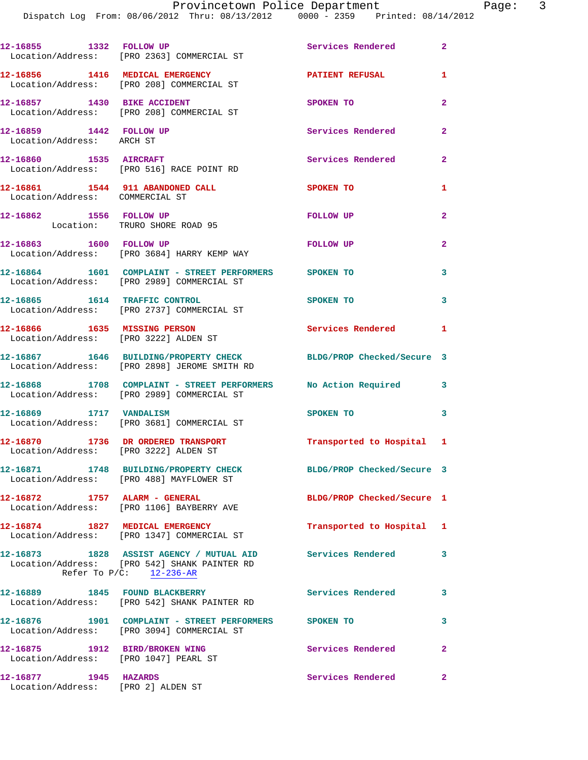**12-16855 1332 FOLLOW UP Services Rendered 2**  Location/Address: [PRO 2363] COMMERCIAL ST **12-16856 1416 MEDICAL EMERGENCY PATIENT REFUSAL 1**  Location/Address: [PRO 208] COMMERCIAL ST **12-16857 1430 BIKE ACCIDENT SPOKEN TO 2**  Location/Address: [PRO 208] COMMERCIAL ST **12-16859 1442 FOLLOW UP Services Rendered 2**  Location/Address: ARCH ST **12-16860 1535 AIRCRAFT Services Rendered 2**  Location/Address: [PRO 516] RACE POINT RD **12-16861 1544 911 ABANDONED CALL SPOKEN TO 1**  Location/Address: COMMERCIAL ST **12-16862 1556 FOLLOW UP FOLLOW UP 2**  Location: TRURO SHORE ROAD 95 **12-16863 1600 FOLLOW UP FOLLOW UP 2**  Location/Address: [PRO 3684] HARRY KEMP WAY **12-16864 1601 COMPLAINT - STREET PERFORMERS SPOKEN TO 3**  Location/Address: [PRO 2989] COMMERCIAL ST **12-16865 1614 TRAFFIC CONTROL SPOKEN TO 3**  Location/Address: [PRO 2737] COMMERCIAL ST **12-16866 1635 MISSING PERSON Services Rendered 1**  Location/Address: [PRO 3222] ALDEN ST **12-16867 1646 BUILDING/PROPERTY CHECK BLDG/PROP Checked/Secure 3**  Location/Address: [PRO 2898] JEROME SMITH RD **12-16868 1708 COMPLAINT - STREET PERFORMERS No Action Required 3**  Location/Address: [PRO 2989] COMMERCIAL ST **12-16869 1717 VANDALISM SPOKEN TO 3**  Location/Address: [PRO 3681] COMMERCIAL ST **12-16870 1736 DR ORDERED TRANSPORT Transported to Hospital 1**  Location/Address: [PRO 3222] ALDEN ST **12-16871 1748 BUILDING/PROPERTY CHECK BLDG/PROP Checked/Secure 3**  Location/Address: [PRO 488] MAYFLOWER ST **12-16872 1757 ALARM - GENERAL BLDG/PROP Checked/Secure 1**  Location/Address: [PRO 1106] BAYBERRY AVE **12-16874 1827 MEDICAL EMERGENCY Transported to Hospital 1**  Location/Address: [PRO 1347] COMMERCIAL ST **12-16873 1828 ASSIST AGENCY / MUTUAL AID Services Rendered 3**  Location/Address: [PRO 542] SHANK PAINTER RD Refer To  $P/C:$   $\frac{12-236-AR}{2}$ **12-16889 1845 FOUND BLACKBERRY Services Rendered 3**  Location/Address: [PRO 542] SHANK PAINTER RD **12-16876 1901 COMPLAINT - STREET PERFORMERS SPOKEN TO 3**  Location/Address: [PRO 3094] COMMERCIAL ST **12-16875 1912 BIRD/BROKEN WING Services Rendered 2**  Location/Address: [PRO 1047] PEARL ST **12-16877 1945 HAZARDS Services Rendered 2**  Location/Address: [PRO 2] ALDEN ST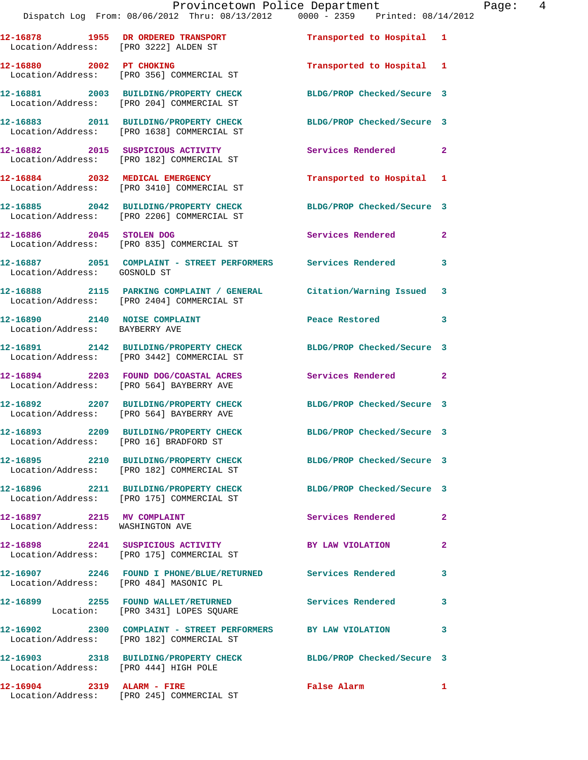|                                                                 | Dispatch Log From: 08/06/2012 Thru: 08/13/2012 0000 - 2359 Printed: 08/14/2012                                |                            |                |
|-----------------------------------------------------------------|---------------------------------------------------------------------------------------------------------------|----------------------------|----------------|
| Location/Address: [PRO 3222] ALDEN ST                           | 12-16878 1955 DR ORDERED TRANSPORT                                                                            | Transported to Hospital 1  |                |
| 12-16880 2002 PT CHOKING                                        | Location/Address: [PRO 356] COMMERCIAL ST                                                                     | Transported to Hospital 1  |                |
|                                                                 | 12-16881 2003 BUILDING/PROPERTY CHECK<br>Location/Address: [PRO 204] COMMERCIAL ST                            | BLDG/PROP Checked/Secure 3 |                |
|                                                                 | 12-16883 2011 BUILDING/PROPERTY CHECK<br>Location/Address: [PRO 1638] COMMERCIAL ST                           | BLDG/PROP Checked/Secure 3 |                |
|                                                                 | 12-16882 2015 SUSPICIOUS ACTIVITY<br>Location/Address: [PRO 182] COMMERCIAL ST                                | Services Rendered          | $\mathbf{2}$   |
|                                                                 | 12-16884 2032 MEDICAL EMERGENCY<br>Location/Address: [PRO 3410] COMMERCIAL ST                                 | Transported to Hospital    | 1              |
|                                                                 | 12-16885 2042 BUILDING/PROPERTY CHECK<br>Location/Address: [PRO 2206] COMMERCIAL ST                           | BLDG/PROP Checked/Secure 3 |                |
| 12-16886 2045 STOLEN DOG                                        | Location/Address: [PRO 835] COMMERCIAL ST                                                                     | Services Rendered          | $\overline{2}$ |
| Location/Address: GOSNOLD ST                                    | 12-16887 2051 COMPLAINT - STREET PERFORMERS Services Rendered                                                 |                            | 3              |
|                                                                 | 12-16888 2115 PARKING COMPLAINT / GENERAL<br>Location/Address: [PRO 2404] COMMERCIAL ST                       | Citation/Warning Issued    | 3              |
| 12-16890 2140 NOISE COMPLAINT<br>Location/Address: BAYBERRY AVE |                                                                                                               | Peace Restored             | 3              |
|                                                                 | 12-16891 2142 BUILDING/PROPERTY CHECK<br>Location/Address: [PRO 3442] COMMERCIAL ST                           | BLDG/PROP Checked/Secure 3 |                |
|                                                                 | 12-16894 2203 FOUND DOG/COASTAL ACRES<br>Location/Address: [PRO 564] BAYBERRY AVE                             | Services Rendered          | $\mathbf{2}$   |
|                                                                 | 12-16892 2207 BUILDING/PROPERTY CHECK<br>Location/Address: [PRO 564] BAYBERRY AVE                             | BLDG/PROP Checked/Secure 3 |                |
| 12-16893                                                        | 2209 BUILDING/PROPERTY CHECK BLDG/PROP Checked/Secure 3<br>Location/Address: [PRO 16] BRADFORD ST             |                            |                |
|                                                                 | 12-16895 2210 BUILDING/PROPERTY CHECK BLDG/PROP Checked/Secure 3<br>Location/Address: [PRO 182] COMMERCIAL ST |                            |                |
|                                                                 | 12-16896 2211 BUILDING/PROPERTY CHECK<br>Location/Address: [PRO 175] COMMERCIAL ST                            | BLDG/PROP Checked/Secure 3 |                |
| 12-16897 2215 MV COMPLAINT<br>Location/Address: WASHINGTON AVE  |                                                                                                               | Services Rendered          | $\mathbf{2}$   |
|                                                                 | 12-16898 2241 SUSPICIOUS ACTIVITY<br>Location/Address: [PRO 175] COMMERCIAL ST                                | BY LAW VIOLATION           | $\overline{a}$ |
| Location/Address: [PRO 484] MASONIC PL                          | 12-16907 2246 FOUND I PHONE/BLUE/RETURNED Services Rendered                                                   |                            | 3              |
|                                                                 | 12-16899 2255 FOUND WALLET/RETURNED<br>Location: [PRO 3431] LOPES SQUARE                                      | <b>Services Rendered</b>   | 3              |
|                                                                 | 12-16902 2300 COMPLAINT - STREET PERFORMERS BY LAW VIOLATION<br>Location/Address: [PRO 182] COMMERCIAL ST     |                            | 3              |
| Location/Address: [PRO 444] HIGH POLE                           | 12-16903 2318 BUILDING/PROPERTY CHECK BLDG/PROP Checked/Secure 3                                              |                            |                |
|                                                                 |                                                                                                               |                            |                |

**12-16904 2319 ALARM - FIRE False Alarm 1** 

Location/Address: [PRO 245] COMMERCIAL ST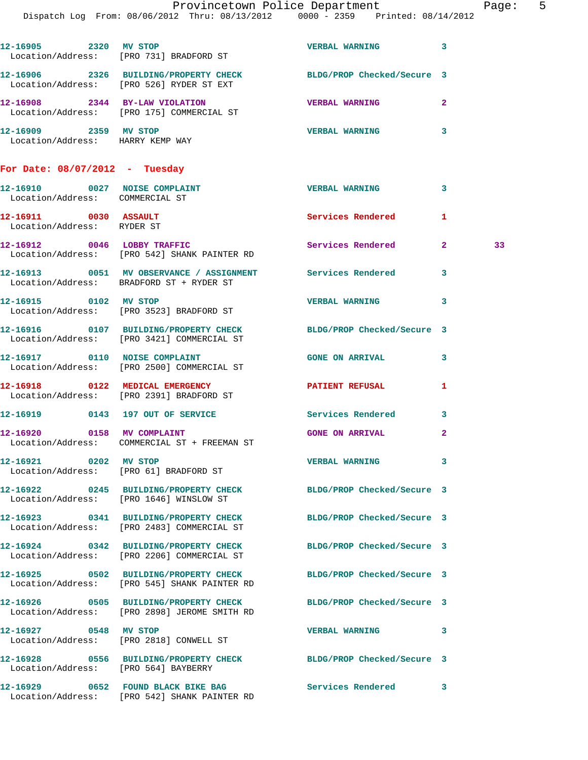|                                                                  | 12-16905 2320 MV STOP<br>Location/Address: [PRO 731] BRADFORD ST                                                 | <b>VERBAL WARNING</b>      | 3              |    |
|------------------------------------------------------------------|------------------------------------------------------------------------------------------------------------------|----------------------------|----------------|----|
|                                                                  | 12-16906 2326 BUILDING/PROPERTY CHECK<br>Location/Address: [PRO 526] RYDER ST EXT                                | BLDG/PROP Checked/Secure 3 |                |    |
|                                                                  | 12-16908 2344 BY-LAW VIOLATION<br>Location/Address: [PRO 175] COMMERCIAL ST                                      | <b>VERBAL WARNING</b>      | $\mathbf{2}$   |    |
| 12-16909 2359 MV STOP<br>Location/Address: HARRY KEMP WAY        |                                                                                                                  | <b>VERBAL WARNING</b>      | 3              |    |
| For Date: $08/07/2012$ - Tuesday                                 |                                                                                                                  |                            |                |    |
| 12-16910 0027 NOISE COMPLAINT<br>Location/Address: COMMERCIAL ST |                                                                                                                  | <b>VERBAL WARNING</b>      | 3              |    |
| 12-16911 0030 ASSAULT<br>Location/Address: RYDER ST              |                                                                                                                  | Services Rendered          | 1              |    |
|                                                                  | 12-16912 0046 LOBBY TRAFFIC<br>Location/Address: [PRO 542] SHANK PAINTER RD                                      | Services Rendered          | 2              | 33 |
|                                                                  | 12-16913 0051 MV OBSERVANCE / ASSIGNMENT Services Rendered<br>Location/Address: BRADFORD ST + RYDER ST           |                            | 3              |    |
| 12-16915 0102 MV STOP                                            | Location/Address: [PRO 3523] BRADFORD ST                                                                         | <b>VERBAL WARNING</b>      | 3              |    |
|                                                                  | 12-16916 0107 BUILDING/PROPERTY CHECK<br>Location/Address: [PRO 3421] COMMERCIAL ST                              | BLDG/PROP Checked/Secure 3 |                |    |
|                                                                  | 12-16917 0110 NOISE COMPLAINT<br>Location/Address: [PRO 2500] COMMERCIAL ST                                      | <b>GONE ON ARRIVAL</b>     | 3              |    |
|                                                                  | 12-16918 0122 MEDICAL EMERGENCY<br>Location/Address: [PRO 2391] BRADFORD ST                                      | PATIENT REFUSAL            | 1              |    |
|                                                                  | 12-16919 0143 197 OUT OF SERVICE                                                                                 | <b>Services Rendered</b>   | 3              |    |
|                                                                  | 12-16920 0158 MV COMPLAINT<br>Location/Address: COMMERCIAL ST + FREEMAN ST                                       | <b>GONE ON ARRIVAL</b>     | $\overline{2}$ |    |
| 12-16921 0202 MV STOP                                            | Location/Address: [PRO 61] BRADFORD ST                                                                           | <b>VERBAL WARNING</b>      |                |    |
|                                                                  | 12-16922 0245 BUILDING/PROPERTY CHECK BLDG/PROP Checked/Secure 3<br>Location/Address: [PRO 1646] WINSLOW ST      |                            |                |    |
|                                                                  | 12-16923 0341 BUILDING/PROPERTY CHECK<br>Location/Address: [PRO 2483] COMMERCIAL ST                              | BLDG/PROP Checked/Secure 3 |                |    |
|                                                                  | 12-16924 0342 BUILDING/PROPERTY CHECK<br>Location/Address: [PRO 2206] COMMERCIAL ST                              | BLDG/PROP Checked/Secure 3 |                |    |
|                                                                  | 12-16925 0502 BUILDING/PROPERTY CHECK<br>Location/Address: [PRO 545] SHANK PAINTER RD                            | BLDG/PROP Checked/Secure 3 |                |    |
|                                                                  | 12-16926 0505 BUILDING/PROPERTY CHECK BLDG/PROP Checked/Secure 3<br>Location/Address: [PRO 2898] JEROME SMITH RD |                            |                |    |
| 12-16927 0548 MV STOP                                            | Location/Address: [PRO 2818] CONWELL ST                                                                          | <b>VERBAL WARNING</b>      | 3              |    |
| Location/Address: [PRO 564] BAYBERRY                             | 12-16928 0556 BUILDING/PROPERTY CHECK BLDG/PROP Checked/Secure 3                                                 |                            |                |    |
|                                                                  | 12-16929 0652 FOUND BLACK BIKE BAG<br>Location/Address: [PRO 542] SHANK PAINTER RD                               | Services Rendered          | 3              |    |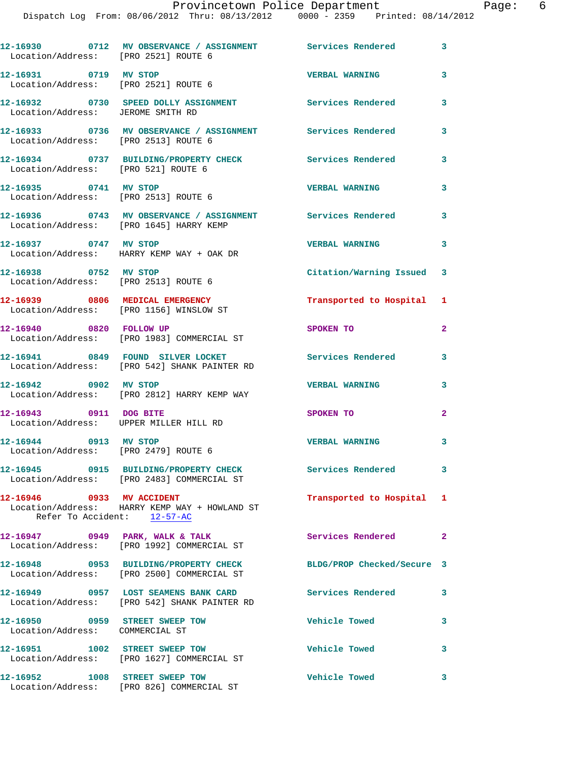| Location/Address: [PRO 2521] ROUTE 6                                       | 12-16930 0712 MV OBSERVANCE / ASSIGNMENT Services Rendered 3                                                   |                           |              |
|----------------------------------------------------------------------------|----------------------------------------------------------------------------------------------------------------|---------------------------|--------------|
| 12-16931 0719 MV STOP<br>Location/Address: [PRO 2521] ROUTE 6              |                                                                                                                | <b>VERBAL WARNING</b>     | 3            |
| Location/Address: JEROME SMITH RD                                          | 12-16932 0730 SPEED DOLLY ASSIGNMENT Services Rendered                                                         |                           | 3            |
| Location/Address: [PRO 2513] ROUTE 6                                       | 12-16933 0736 MV OBSERVANCE / ASSIGNMENT Services Rendered                                                     |                           | 3            |
| Location/Address: [PRO 521] ROUTE 6                                        | 12-16934 0737 BUILDING/PROPERTY CHECK Services Rendered                                                        |                           | 3            |
| 12-16935 0741 MV STOP<br>Location/Address: [PRO 2513] ROUTE 6              |                                                                                                                | <b>VERBAL WARNING</b>     | 3            |
|                                                                            | 12-16936 0743 MV OBSERVANCE / ASSIGNMENT Services Rendered<br>Location/Address: [PRO 1645] HARRY KEMP          |                           | 3            |
| 12-16937 0747 MV STOP                                                      | Location/Address: HARRY KEMP WAY + OAK DR                                                                      | <b>VERBAL WARNING</b>     | 3            |
| 12-16938 0752 MV STOP<br>Location/Address: [PRO 2513] ROUTE 6              |                                                                                                                | Citation/Warning Issued 3 |              |
| 12-16939 0806 MEDICAL EMERGENCY<br>Location/Address: [PRO 1156] WINSLOW ST |                                                                                                                | Transported to Hospital 1 |              |
| 12-16940 0820 FOLLOW UP                                                    | Location/Address: [PRO 1983] COMMERCIAL ST                                                                     | SPOKEN TO                 | $\mathbf{2}$ |
|                                                                            | 12-16941 0849 FOUND SILVER LOCKET<br>Location/Address: [PRO 542] SHANK PAINTER RD                              | <b>Services Rendered</b>  | 3            |
| 12-16942 0902 MV STOP                                                      | Location/Address: [PRO 2812] HARRY KEMP WAY                                                                    | <b>VERBAL WARNING</b>     | 3            |
| 12-16943 0911 DOG BITE<br>Location/Address: UPPER MILLER HILL RD           |                                                                                                                | SPOKEN TO                 | $\mathbf{2}$ |
| 12-16944 0913 MV STOP<br>Location/Address: [PRO 2479] ROUTE 6              |                                                                                                                | <b>VERBAL WARNING</b>     | 3            |
|                                                                            | 12-16945 0915 BUILDING/PROPERTY CHECK<br>Location/Address: [PRO 2483] COMMERCIAL ST                            | Services Rendered 3       |              |
| 12-16946 0933 MV ACCIDENT<br>Refer To Accident: $12-57-AC$                 | Location/Address: HARRY KEMP WAY + HOWLAND ST                                                                  | Transported to Hospital 1 |              |
|                                                                            | 12-16947 0949 PARK, WALK & TALK<br>Location/Address: [PRO 1992] COMMERCIAL ST                                  | Services Rendered 2       |              |
|                                                                            | 12-16948 0953 BUILDING/PROPERTY CHECK BLDG/PROP Checked/Secure 3<br>Location/Address: [PRO 2500] COMMERCIAL ST |                           |              |
|                                                                            | 12-16949 0957 LOST SEAMENS BANK CARD Services Rendered<br>Location/Address: [PRO 542] SHANK PAINTER RD         |                           | 3            |
| 12-16950 0959 STREET SWEEP TOW<br>Location/Address: COMMERCIAL ST          |                                                                                                                | <b>Vehicle Towed</b>      | 3            |
|                                                                            | 12-16951 1002 STREET SWEEP TOW<br>Location/Address: [PRO 1627] COMMERCIAL ST                                   | Vehicle Towed             | 3            |
| 12-16952 1008 STREET SWEEP TOW                                             |                                                                                                                | <b>Vehicle Towed</b>      | 3            |

Location/Address: [PRO 826] COMMERCIAL ST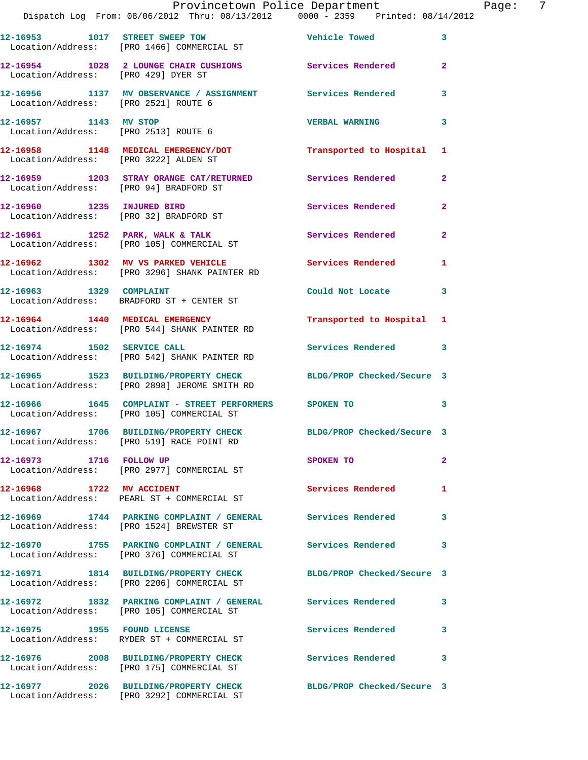|                                        | Provincetown Police Department The Page: 7<br>Dispatch Log From: 08/06/2012 Thru: 08/13/2012   0000 - 2359   Printed: 08/14/2012 |                            |                |
|----------------------------------------|----------------------------------------------------------------------------------------------------------------------------------|----------------------------|----------------|
|                                        | 12-16953 1017 STREET SWEEP TOW The Vehicle Towed<br>Location/Address: [PRO 1466] COMMERCIAL ST                                   |                            | $\mathbf{3}$   |
| Location/Address: [PRO 429] DYER ST    | 12-16954 1028 2 LOUNGE CHAIR CUSHIONS Services Rendered                                                                          |                            | $\mathbf{2}$   |
|                                        | 12-16956 1137 MV OBSERVANCE / ASSIGNMENT Services Rendered 3<br>Location/Address: [PRO 2521] ROUTE 6                             |                            |                |
|                                        | 12-16957 1143 MV STOP<br>Location/Address: [PRO 2513] ROUTE 6                                                                    | <b>VERBAL WARNING</b>      | 3              |
|                                        | 12-16958 1148 MEDICAL EMERGENCY/DOT Transported to Hospital 1<br>Location/Address: [PRO 3222] ALDEN ST                           |                            |                |
| Location/Address: [PRO 94] BRADFORD ST | 12-16959 1203 STRAY ORANGE CAT/RETURNED Services Rendered                                                                        |                            | $\mathbf{2}$   |
|                                        | 12-16960 1235 INJURED BIRD<br>Location/Address: [PRO 32] BRADFORD ST                                                             | Services Rendered          | $\overline{2}$ |
|                                        | 12-16961 1252 PARK, WALK & TALK 1999 Services Rendered<br>Location/Address: [PRO 105] COMMERCIAL ST                              |                            | $\mathbf{2}$   |
|                                        | 12-16962 1302 MV VS PARKED VEHICLE Services Rendered 1<br>Location/Address: [PRO 3296] SHANK PAINTER RD                          |                            |                |
|                                        | 12-16963 1329 COMPLAINT<br>Location/Address: BRADFORD ST + CENTER ST                                                             | Could Not Locate           | 3              |
|                                        | 12-16964 1440 MEDICAL EMERGENCY TRANSPORTED to Hospital 1<br>Location/Address: [PRO 544] SHANK PAINTER RD                        |                            |                |
|                                        | 12-16974 1502 SERVICE CALL<br>Location/Address: [PRO 542] SHANK PAINTER RD                                                       | Services Rendered 3        |                |
|                                        | 12-16965 1523 BUILDING/PROPERTY CHECK BLDG/PROP Checked/Secure 3<br>Location/Address: [PRO 2898] JEROME SMITH RD                 |                            |                |
|                                        | 12-16966  1645  COMPLAINT - STREET PERFORMERS  SPOKEN TO<br>Location/Address: [PRO 105]  COMMERCIAL ST                           |                            | 3              |
|                                        | 12-16967 1706 BUILDING/PROPERTY CHECK<br>Location/Address: [PRO 519] RACE POINT RD                                               | BLDG/PROP Checked/Secure 3 |                |
| 12-16973 1716 FOLLOW UP                | Location/Address: [PRO 2977] COMMERCIAL ST                                                                                       | SPOKEN TO                  | $\overline{a}$ |
| 12-16968 1722 MV ACCIDENT              | Location/Address: PEARL ST + COMMERCIAL ST                                                                                       | Services Rendered          | 1              |
|                                        | 12-16969 1744 PARKING COMPLAINT / GENERAL Services Rendered<br>Location/Address: [PRO 1524] BREWSTER ST                          |                            | 3              |
|                                        | 12-16970 1755 PARKING COMPLAINT / GENERAL Services Rendered<br>Location/Address: [PRO 376] COMMERCIAL ST                         |                            | $\mathbf{3}$   |
|                                        | 12-16971 1814 BUILDING/PROPERTY CHECK<br>Location/Address: [PRO 2206] COMMERCIAL ST                                              | BLDG/PROP Checked/Secure 3 |                |
|                                        | 12-16972 1832 PARKING COMPLAINT / GENERAL Services Rendered<br>Location/Address: [PRO 105] COMMERCIAL ST                         |                            | 3              |
|                                        | 12-16975 1955 FOUND LICENSE<br>Location/Address: RYDER ST + COMMERCIAL ST                                                        | Services Rendered          | 3              |
|                                        | 12-16976 2008 BUILDING/PROPERTY CHECK Services Rendered<br>Location/Address: [PRO 175] COMMERCIAL ST                             |                            | 3              |
|                                        | 12-16977 2026 BUILDING/PROPERTY CHECK BLDG/PROP Checked/Secure 3<br>Location/Address: [PRO 3292] COMMERCIAL ST                   |                            |                |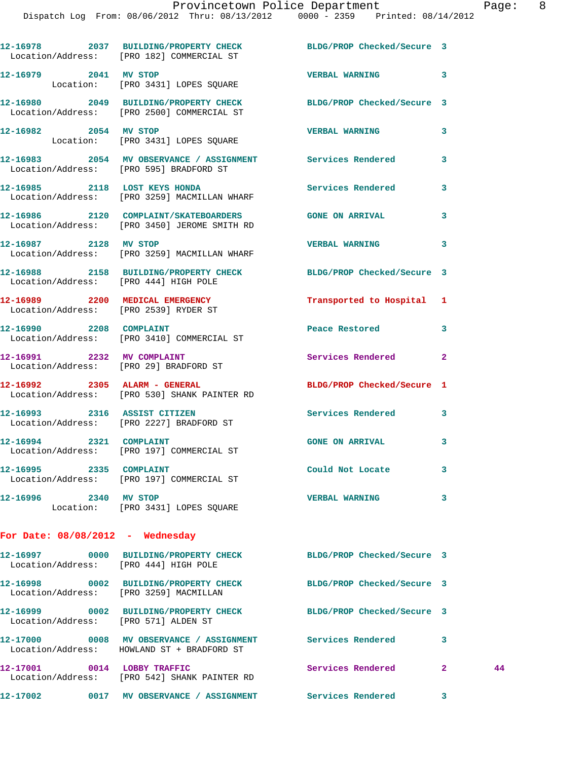|                                        | 12-16978 2037 BUILDING/PROPERTY CHECK BLDG/PROP Checked/Secure 3<br>Location/Address: [PRO 182] COMMERCIAL ST  |                            |              |    |
|----------------------------------------|----------------------------------------------------------------------------------------------------------------|----------------------------|--------------|----|
|                                        |                                                                                                                | VERBAL WARNING 3           |              |    |
|                                        | 12-16980 2049 BUILDING/PROPERTY CHECK BLDG/PROP Checked/Secure 3<br>Location/Address: [PRO 2500] COMMERCIAL ST |                            |              |    |
| 12-16982 2054 MV STOP                  | Location: [PRO 3431] LOPES SQUARE                                                                              | <b>VERBAL WARNING</b>      | 3            |    |
|                                        | 12-16983 2054 MV OBSERVANCE / ASSIGNMENT Services Rendered<br>Location/Address: [PRO 595] BRADFORD ST          |                            | 3            |    |
|                                        | 12-16985 2118 LOST KEYS HONDA<br>Location/Address: [PRO 3259] MACMILLAN WHARF                                  | Services Rendered          | 3            |    |
|                                        | 12-16986 2120 COMPLAINT/SKATEBOARDERS GONE ON ARRIVAL<br>Location/Address: [PRO 3450] JEROME SMITH RD          |                            | 3            |    |
| 12-16987 2128 MV STOP                  | Location/Address: [PRO 3259] MACMILLAN WHARF                                                                   | VERBAL WARNING 3           |              |    |
| Location/Address: [PRO 444] HIGH POLE  | 12-16988 2158 BUILDING/PROPERTY CHECK BLDG/PROP Checked/Secure 3                                               |                            |              |    |
| Location/Address: [PRO 2539] RYDER ST  | 12-16989 2200 MEDICAL EMERGENCY                                                                                | Transported to Hospital 1  |              |    |
|                                        | 12-16990 2208 COMPLAINT<br>Location/Address: [PRO 3410] COMMERCIAL ST                                          | Peace Restored             | 3            |    |
| 12-16991 2232 MV COMPLAINT             | Location/Address: [PRO 29] BRADFORD ST                                                                         | Services Rendered 2        |              |    |
|                                        | 12-16992 2305 ALARM - GENERAL<br>Location/Address: [PRO 530] SHANK PAINTER RD                                  | BLDG/PROP Checked/Secure 1 |              |    |
|                                        | 12-16993 2316 ASSIST CITIZEN<br>Location/Address: [PRO 2227] BRADFORD ST                                       | <b>Services Rendered</b>   | 3            |    |
|                                        | 12-16994 2321 COMPLAINT<br>Location/Address: [PRO 197] COMMERCIAL ST                                           | GONE ON ARRIVAL 3          |              |    |
|                                        | 12-16995 2335 COMPLAINT<br>Location/Address: [PRO 197] COMMERCIAL ST                                           | Could Not Locate           |              |    |
| 12-16996 2340 MV STOP                  | Location: [PRO 3431] LOPES SQUARE                                                                              | <b>VERBAL WARNING</b>      | 3            |    |
| For Date: 08/08/2012 - Wednesday       |                                                                                                                |                            |              |    |
| Location/Address: [PRO 444] HIGH POLE  | 12-16997 0000 BUILDING/PROPERTY CHECK BLDG/PROP Checked/Secure 3                                               |                            |              |    |
| Location/Address: [PRO 3259] MACMILLAN | 12-16998 0002 BUILDING/PROPERTY CHECK                                                                          | BLDG/PROP Checked/Secure 3 |              |    |
| Location/Address: [PRO 571] ALDEN ST   | 12-16999 0002 BUILDING/PROPERTY CHECK BLDG/PROP Checked/Secure 3                                               |                            |              |    |
|                                        | 12-17000 0008 MV OBSERVANCE / ASSIGNMENT Services Rendered<br>Location/Address: HOWLAND ST + BRADFORD ST       |                            | 3            |    |
|                                        | 12-17001 0014 LOBBY TRAFFIC<br>Location/Address: [PRO 542] SHANK PAINTER RD                                    | Services Rendered          | $\mathbf{2}$ | 44 |
|                                        |                                                                                                                | Services Rendered          | 3            |    |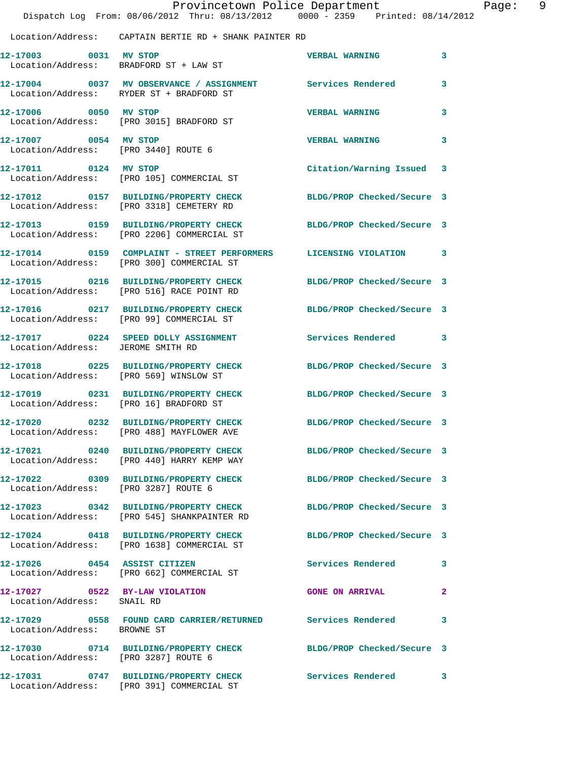|                                        | Provincetown Police Department<br>Dispatch Log From: 08/06/2012 Thru: 08/13/2012 0000 - 2359 Printed: 08/14/2012 |                            | Page: 9      |
|----------------------------------------|------------------------------------------------------------------------------------------------------------------|----------------------------|--------------|
|                                        | Location/Address: CAPTAIN BERTIE RD + SHANK PAINTER RD                                                           |                            |              |
|                                        | 12-17003 0031 MV STOP<br>Location/Address: BRADFORD ST + LAW ST                                                  | <b>VERBAL WARNING</b>      | 3            |
|                                        | 12-17004 0037 MV OBSERVANCE / ASSIGNMENT Services Rendered<br>Location/Address: RYDER ST + BRADFORD ST           |                            | 3            |
|                                        | 12-17006 0050 MV STOP<br>Location/Address: [PRO 3015] BRADFORD ST                                                | <b>VERBAL WARNING</b>      | 3            |
| 12-17007 0054 MV STOP                  | Location/Address: [PRO 3440] ROUTE 6                                                                             | <b>VERBAL WARNING</b>      | 3            |
|                                        | 12-17011 0124 MV STOP<br>Location/Address: [PRO 105] COMMERCIAL ST                                               | Citation/Warning Issued 3  |              |
|                                        | 12-17012 0157 BUILDING/PROPERTY CHECK<br>Location/Address: [PRO 3318] CEMETERY RD                                | BLDG/PROP Checked/Secure 3 |              |
|                                        | 12-17013 0159 BUILDING/PROPERTY CHECK BLDG/PROP Checked/Secure 3<br>Location/Address: [PRO 2206] COMMERCIAL ST   |                            |              |
|                                        | 12-17014 0159 COMPLAINT - STREET PERFORMERS LICENSING VIOLATION 3<br>Location/Address: [PRO 300] COMMERCIAL ST   |                            |              |
|                                        | 12-17015 0216 BUILDING/PROPERTY CHECK<br>Location/Address: [PRO 516] RACE POINT RD                               | BLDG/PROP Checked/Secure 3 |              |
|                                        | 12-17016 0217 BUILDING/PROPERTY CHECK BLDG/PROP Checked/Secure 3<br>Location/Address: [PRO 99] COMMERCIAL ST     |                            |              |
| Location/Address: JEROME SMITH RD      | 12-17017 0224 SPEED DOLLY ASSIGNMENT Services Rendered 3                                                         |                            |              |
|                                        | 12-17018 0225 BUILDING/PROPERTY CHECK BLDG/PROP Checked/Secure 3<br>Location/Address: [PRO 569] WINSLOW ST       |                            |              |
| Location/Address: [PRO 16] BRADFORD ST | 12-17019 0231 BUILDING/PROPERTY CHECK BLDG/PROP Checked/Secure 3                                                 |                            |              |
|                                        | 12-17020 0232 BUILDING/PROPERTY CHECK<br>Location/Address: [PRO 488] MAYFLOWER AVE                               | BLDG/PROP Checked/Secure 3 |              |
|                                        | 12-17021 0240 BUILDING/PROPERTY CHECK BLDG/PROP Checked/Secure 3<br>Location/Address: [PRO 440] HARRY KEMP WAY   |                            |              |
| Location/Address: [PRO 3287] ROUTE 6   | 12-17022 0309 BUILDING/PROPERTY CHECK BLDG/PROP Checked/Secure 3                                                 |                            |              |
|                                        | 12-17023 0342 BUILDING/PROPERTY CHECK<br>Location/Address: [PRO 545] SHANKPAINTER RD                             | BLDG/PROP Checked/Secure 3 |              |
|                                        | 12-17024 0418 BUILDING/PROPERTY CHECK BLDG/PROP Checked/Secure 3<br>Location/Address: [PRO 1638] COMMERCIAL ST   |                            |              |
|                                        | 12-17026 0454 ASSIST CITIZEN<br>Location/Address: [PRO 662] COMMERCIAL ST                                        | Services Rendered 3        |              |
| Location/Address: SNAIL RD             | 12-17027 0522 BY-LAW VIOLATION                                                                                   | <b>GONE ON ARRIVAL</b>     | $\mathbf{2}$ |
| Location/Address: BROWNE ST            | 12-17029 0558 FOUND CARD CARRIER/RETURNED Services Rendered                                                      |                            | 3            |
| Location/Address: [PRO 3287] ROUTE 6   | 12-17030 0714 BUILDING/PROPERTY CHECK BLDG/PROP Checked/Secure 3                                                 |                            |              |
|                                        | 12-17031 0747 BUILDING/PROPERTY CHECK Services Rendered 3<br>Location/Address: [PRO 391] COMMERCIAL ST           |                            |              |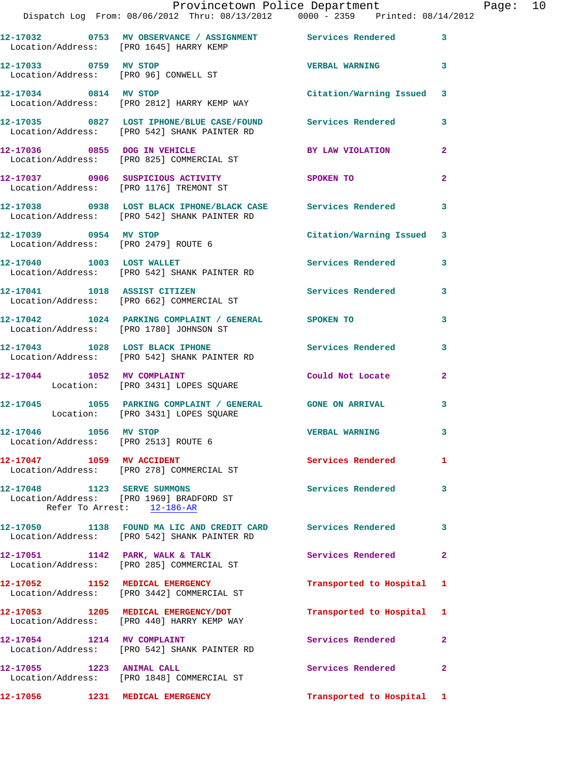|                                      | Provincetown Police Department Fage: 10                                                                        |                           |                |  |
|--------------------------------------|----------------------------------------------------------------------------------------------------------------|---------------------------|----------------|--|
|                                      | 12-17032 0753 MV OBSERVANCE / ASSIGNMENT Services Rendered 3<br>Location/Address: [PRO 1645] HARRY KEMP        |                           |                |  |
|                                      | 12-17033 0759 MV STOP<br>Location/Address: [PRO 96] CONWELL ST                                                 | VERBAL WARNING 3          |                |  |
|                                      | 12-17034 0814 MV STOP Citation/Warning Issued 3<br>Location/Address: [PRO 2812] HARRY KEMP WAY                 |                           |                |  |
|                                      | 12-17035 0827 LOST IPHONE/BLUE CASE/FOUND Services Rendered 3<br>Location/Address: [PRO 542] SHANK PAINTER RD  |                           |                |  |
|                                      | 12-17036 0855 DOG IN VEHICLE<br>Location/Address: [PRO 825] COMMERCIAL ST                                      | BY LAW VIOLATION 2        |                |  |
|                                      | 12-17037 0906 SUSPICIOUS ACTIVITY SPOKEN TO<br>Location/Address: [PRO 1176] TREMONT ST                         |                           | $\overline{2}$ |  |
|                                      | 12-17038 0938 LOST BLACK IPHONE/BLACK CASE Services Rendered 3<br>Location/Address: [PRO 542] SHANK PAINTER RD |                           |                |  |
| Location/Address: [PRO 2479] ROUTE 6 | 12-17039 0954 MV STOP                                                                                          | Citation/Warning Issued 3 |                |  |
|                                      | 12-17040 1003 LOST WALLET<br>Location/Address: [PRO 542] SHANK PAINTER RD                                      | Services Rendered 3       |                |  |
|                                      | 12-17041 1018 ASSIST CITIZEN 12-17041 Services Rendered<br>Location/Address: [PRO 662] COMMERCIAL ST           |                           | 3              |  |
|                                      | 12-17042 1024 PARKING COMPLAINT / GENERAL SPOKEN TO<br>Location/Address: [PRO 1780] JOHNSON ST                 |                           | 3              |  |
|                                      | 12-17043 1028 LOST BLACK IPHONE 12-17043<br>Location/Address: [PRO 542] SHANK PAINTER RD                       |                           | 3              |  |
|                                      | 12-17044 1052 MV COMPLAINT<br>Location: [PRO 3431] LOPES SQUARE                                                | Could Not Locate          | $\mathbf{2}$   |  |
|                                      | 12-17045 1055 PARKING COMPLAINT / GENERAL GONE ON ARRIVAL<br>Location: [PRO 3431] LOPES SQUARE                 |                           | $\mathbf{3}$   |  |
| 12-17046 1056 MV STOP                | Location/Address: [PRO 2513] ROUTE 6                                                                           | <b>VERBAL WARNING</b>     |                |  |
|                                      | 12-17047 1059 MV ACCIDENT<br>Location/Address: [PRO 278] COMMERCIAL ST                                         | <b>Services Rendered</b>  | $\mathbf{1}$   |  |
| 12-17048 1123 SERVE SUMMONS          | Location/Address: [PRO 1969] BRADFORD ST<br>Refer To Arrest: 12-186-AR                                         | <b>Services Rendered</b>  | 3              |  |
|                                      | 12-17050 1138 FOUND MA LIC AND CREDIT CARD Services Rendered<br>Location/Address: [PRO 542] SHANK PAINTER RD   |                           | 3              |  |
|                                      | 12-17051 1142 PARK, WALK & TALK<br>Location/Address: [PRO 285] COMMERCIAL ST                                   | Services Rendered         | $\overline{2}$ |  |
|                                      | 12-17052 1152 MEDICAL EMERGENCY<br>Location/Address: [PRO 3442] COMMERCIAL ST                                  | Transported to Hospital 1 |                |  |
|                                      | 12-17053 1205 MEDICAL EMERGENCY/DOT<br>Location/Address: [PRO 440] HARRY KEMP WAY                              | Transported to Hospital 1 |                |  |
|                                      | 12-17054 1214 MV COMPLAINT<br>Location/Address: [PRO 542] SHANK PAINTER RD                                     | Services Rendered         | $\mathbf{2}$   |  |
| 12-17055 1223 ANIMAL CALL            | Location/Address: [PRO 1848] COMMERCIAL ST                                                                     | Services Rendered         | $\mathbf{2}$   |  |
|                                      | 12-17056 1231 MEDICAL EMERGENCY <b>120 Transported</b> to Hospital 1                                           |                           |                |  |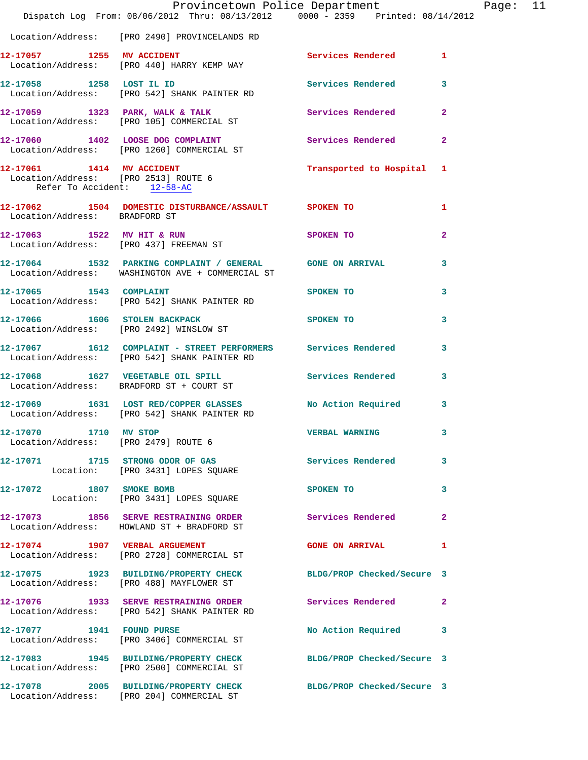|                                                                     | Provincetown Police Department Page: 11<br>Dispatch Log From: 08/06/2012 Thru: 08/13/2012 0000 - 2359 Printed: 08/14/2012 |                           |                |  |
|---------------------------------------------------------------------|---------------------------------------------------------------------------------------------------------------------------|---------------------------|----------------|--|
|                                                                     | Location/Address: [PRO 2490] PROVINCELANDS RD                                                                             |                           |                |  |
|                                                                     | 12-17057 1255 MV ACCIDENT<br>Location/Address: [PRO 440] HARRY KEMP WAY                                                   | Services Rendered 1       |                |  |
|                                                                     | 12-17058 1258 LOST IL ID<br>Location/Address: [PRO 542] SHANK PAINTER RD                                                  | Services Rendered         | $\mathbf{3}$   |  |
|                                                                     | 12-17059 1323 PARK, WALK & TALK 1988 Services Rendered<br>Location/Address: [PRO 105] COMMERCIAL ST                       |                           | $\overline{2}$ |  |
|                                                                     | 12-17060 1402 LOOSE DOG COMPLAINT Services Rendered<br>Location/Address: [PRO 1260] COMMERCIAL ST                         |                           | $\overline{2}$ |  |
| Location/Address: [PRO 2513] ROUTE 6<br>Refer To Accident: 12-58-AC | 12-17061 1414 MV ACCIDENT<br>Location (Address: 1886, 2518) 1998–1999                                                     | Transported to Hospital 1 |                |  |
| Location/Address: BRADFORD ST                                       | 12-17062 1504 DOMESTIC DISTURBANCE/ASSAULT SPOKEN TO                                                                      |                           | 1              |  |
|                                                                     | 12-17063 1522 MV HIT & RUN<br>Location/Address: [PRO 437] FREEMAN ST                                                      | <b>SPOKEN TO</b>          | $\mathbf{2}$   |  |
|                                                                     | 12-17064 1532 PARKING COMPLAINT / GENERAL GONE ON ARRIVAL<br>Location/Address: WASHINGTON AVE + COMMERCIAL ST             |                           | 3              |  |
|                                                                     | 12-17065 1543 COMPLAINT SPOKEN TO<br>Location/Address: [PRO 542] SHANK PAINTER RD                                         |                           | 3              |  |
|                                                                     | 12-17066 1606 STOLEN BACKPACK SPOKEN TO<br>Location/Address: [PRO 2492] WINSLOW ST                                        |                           | 3              |  |
|                                                                     | 12-17067 1612 COMPLAINT - STREET PERFORMERS Services Rendered<br>Location/Address: [PRO 542] SHANK PAINTER RD             |                           | 3              |  |
|                                                                     | 12-17068 1627 VEGETABLE OIL SPILL Services Rendered 3<br>Location/Address: BRADFORD ST + COURT ST                         |                           |                |  |
|                                                                     | 12-17069 1631 LOST RED/COPPER GLASSES No Action Required 3<br>Location/Address: [PRO 542] SHANK PAINTER RD                |                           |                |  |
| 12-17070 1710 MV STOP<br>Location/Address: [PRO 2479] ROUTE 6       |                                                                                                                           | <b>VERBAL WARNING</b>     |                |  |
|                                                                     | 12-17071 1715 STRONG ODOR OF GAS<br>Location: [PRO 3431] LOPES SQUARE                                                     | Services Rendered         | 3              |  |
| 12-17072 1807 SMOKE BOMB                                            | Location: [PRO 3431] LOPES SQUARE                                                                                         | SPOKEN TO                 | 3              |  |
|                                                                     | 12-17073 1856 SERVE RESTRAINING ORDER Services Rendered<br>Location/Address: HOWLAND ST + BRADFORD ST                     |                           | $\mathbf{2}$   |  |
|                                                                     | 12-17074 1907 VERBAL ARGUEMENT<br>Location/Address: [PRO 2728] COMMERCIAL ST                                              | <b>GONE ON ARRIVAL</b>    | 1              |  |
|                                                                     | 12-17075 1923 BUILDING/PROPERTY CHECK BLDG/PROP Checked/Secure 3<br>Location/Address: [PRO 488] MAYFLOWER ST              |                           |                |  |
|                                                                     | 12-17076 1933 SERVE RESTRAINING ORDER Services Rendered<br>Location/Address: [PRO 542] SHANK PAINTER RD                   |                           | $\mathbf{2}$   |  |
|                                                                     | 12-17077 1941 FOUND PURSE<br>Location/Address: [PRO 3406] COMMERCIAL ST                                                   | No Action Required        | 3              |  |
|                                                                     | 12-17083 1945 BUILDING/PROPERTY CHECK BLDG/PROP Checked/Secure 3<br>Location/Address: [PRO 2500] COMMERCIAL ST            |                           |                |  |
|                                                                     | 12-17078 2005 BUILDING/PROPERTY CHECK BLDG/PROP Checked/Secure 3<br>Location/Address: [PRO 204] COMMERCIAL ST             |                           |                |  |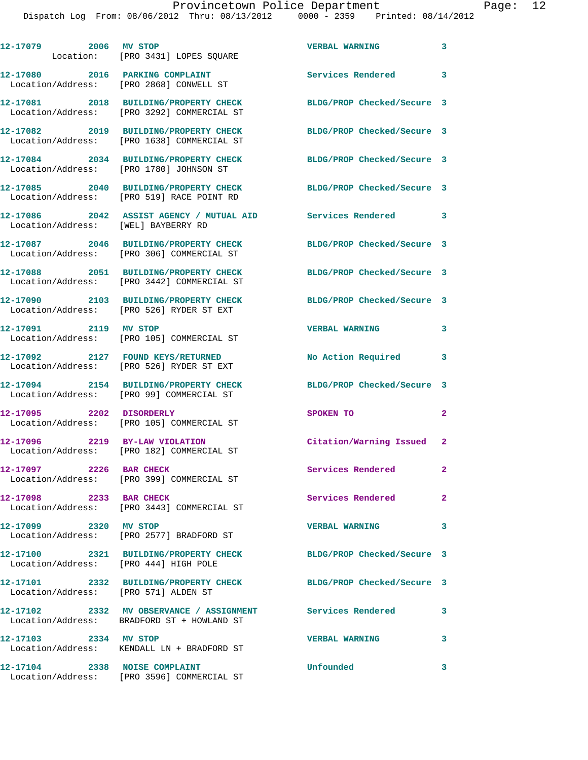| 12-17079 2006 MV STOP                 | Location: [PRO 3431] LOPES SQUARE                                                                              | <b>VERBAL WARNING</b>      | 3            |
|---------------------------------------|----------------------------------------------------------------------------------------------------------------|----------------------------|--------------|
|                                       | 12-17080 2016 PARKING COMPLAINT<br>Location/Address: [PRO 2868] CONWELL ST                                     | Services Rendered 3        |              |
|                                       | 12-17081 2018 BUILDING/PROPERTY CHECK<br>Location/Address: [PRO 3292] COMMERCIAL ST                            | BLDG/PROP Checked/Secure 3 |              |
|                                       | 12-17082 2019 BUILDING/PROPERTY CHECK<br>Location/Address: [PRO 1638] COMMERCIAL ST                            | BLDG/PROP Checked/Secure 3 |              |
|                                       | 12-17084 2034 BUILDING/PROPERTY CHECK<br>Location/Address: [PRO 1780] JOHNSON ST                               | BLDG/PROP Checked/Secure 3 |              |
|                                       | 12-17085 2040 BUILDING/PROPERTY CHECK<br>Location/Address: [PRO 519] RACE POINT RD                             | BLDG/PROP Checked/Secure 3 |              |
| Location/Address: [WEL] BAYBERRY RD   | 12-17086 2042 ASSIST AGENCY / MUTUAL AID Services Rendered 3                                                   |                            |              |
|                                       | 12-17087 2046 BUILDING/PROPERTY CHECK<br>Location/Address: [PRO 306] COMMERCIAL ST                             | BLDG/PROP Checked/Secure 3 |              |
|                                       | 12-17088 2051 BUILDING/PROPERTY CHECK BLDG/PROP Checked/Secure 3<br>Location/Address: [PRO 3442] COMMERCIAL ST |                            |              |
|                                       | 12-17090 2103 BUILDING/PROPERTY CHECK<br>Location/Address: [PRO 526] RYDER ST EXT                              | BLDG/PROP Checked/Secure 3 |              |
| 12-17091 2119 MV STOP                 | Location/Address: [PRO 105] COMMERCIAL ST                                                                      | <b>VERBAL WARNING</b>      | 3            |
|                                       | 12-17092 2127 FOUND KEYS/RETURNED<br>Location/Address: [PRO 526] RYDER ST EXT                                  | No Action Required         | 3            |
|                                       | 12-17094 2154 BUILDING/PROPERTY CHECK<br>Location/Address: [PRO 99] COMMERCIAL ST                              | BLDG/PROP Checked/Secure 3 |              |
|                                       | 12-17095 2202 DISORDERLY<br>Location/Address: [PRO 105] COMMERCIAL ST                                          | SPOKEN TO                  | $\mathbf{2}$ |
| 12-17096 2219 BY-LAW VIOLATION        | Location/Address: [PRO 182] COMMERCIAL ST                                                                      | Citation/Warning Issued 2  |              |
| 12-17097 2226 BAR CHECK               | Location/Address: [PRO 399] COMMERCIAL ST                                                                      | Services Rendered          | $\mathbf{2}$ |
| 12-17098 2233 BAR CHECK               | Location/Address: [PRO 3443] COMMERCIAL ST                                                                     | Services Rendered          | $\mathbf{2}$ |
| 12-17099 2320 MV STOP                 | Location/Address: [PRO 2577] BRADFORD ST                                                                       | <b>VERBAL WARNING</b>      | 3            |
| Location/Address: [PRO 444] HIGH POLE | 12-17100 2321 BUILDING/PROPERTY CHECK                                                                          | BLDG/PROP Checked/Secure 3 |              |
| Location/Address: [PRO 571] ALDEN ST  | 12-17101 2332 BUILDING/PROPERTY CHECK                                                                          | BLDG/PROP Checked/Secure 3 |              |
|                                       | 12-17102 2332 MV OBSERVANCE / ASSIGNMENT Services Rendered<br>Location/Address: BRADFORD ST + HOWLAND ST       |                            | 3            |
| 12-17103 2334 MV STOP                 | Location/Address: KENDALL LN + BRADFORD ST                                                                     | <b>VERBAL WARNING</b>      | 3            |
| 12-17104 2338 NOISE COMPLAINT         |                                                                                                                | Unfounded                  | 3            |

Location/Address: [PRO 3596] COMMERCIAL ST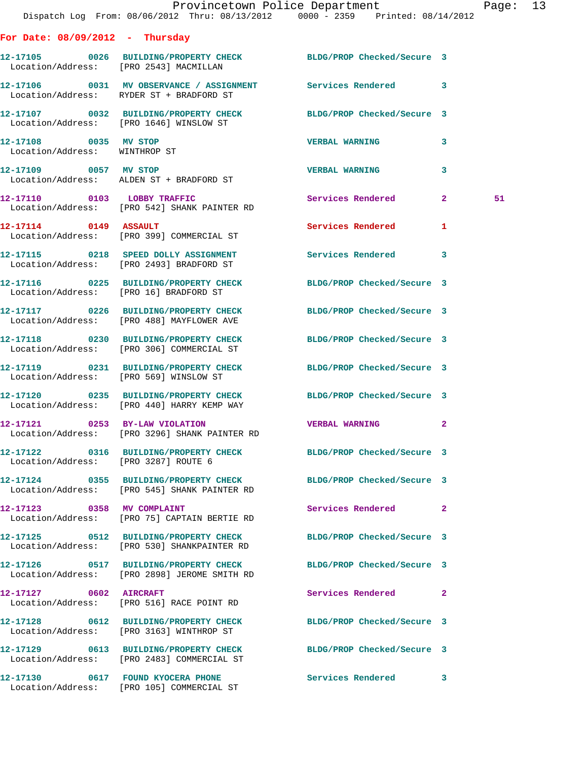|                                                        | Dispatch Log From: 08/06/2012 Thru: 08/13/2012 0000 - 2359 Printed: 08/14/2012                                   | Provincetown Police Department Page: 13 |   |    |  |
|--------------------------------------------------------|------------------------------------------------------------------------------------------------------------------|-----------------------------------------|---|----|--|
| For Date: $08/09/2012$ - Thursday                      |                                                                                                                  |                                         |   |    |  |
|                                                        | 12-17105 0026 BUILDING/PROPERTY CHECK BLDG/PROP Checked/Secure 3<br>Location/Address: [PRO 2543] MACMILLAN       |                                         |   |    |  |
|                                                        | 12-17106 0031 MV OBSERVANCE / ASSIGNMENT Services Rendered 3<br>Location/Address: RYDER ST + BRADFORD ST         |                                         |   |    |  |
|                                                        | 12-17107 0032 BUILDING/PROPERTY CHECK BLDG/PROP Checked/Secure 3<br>Location/Address: [PRO 1646] WINSLOW ST      |                                         |   |    |  |
| 12-17108 0035 MV STOP<br>Location/Address: WINTHROP ST |                                                                                                                  | <b>VERBAL WARNING</b>                   | 3 |    |  |
|                                                        | 12-17109 0057 MV STOP<br>Location/Address: ALDEN ST + BRADFORD ST                                                | <b>VERBAL WARNING</b>                   | 3 |    |  |
|                                                        | 12-17110 0103 LOBBY TRAFFIC<br>Location/Address: [PRO 542] SHANK PAINTER RD                                      | Services Rendered 2                     |   | 51 |  |
|                                                        | 12-17114 0149 ASSAULT<br>Location/Address: [PRO 399] COMMERCIAL ST                                               | Services Rendered                       | 1 |    |  |
|                                                        | 12-17115 0218 SPEED DOLLY ASSIGNMENT<br>Location/Address: [PRO 2493] BRADFORD ST                                 | Services Rendered 3                     |   |    |  |
|                                                        | 12-17116 0225 BUILDING/PROPERTY CHECK BLDG/PROP Checked/Secure 3<br>Location/Address: [PRO 16] BRADFORD ST       |                                         |   |    |  |
|                                                        | 12-17117 0226 BUILDING/PROPERTY CHECK BLDG/PROP Checked/Secure 3<br>Location/Address: [PRO 488] MAYFLOWER AVE    |                                         |   |    |  |
|                                                        | 12-17118 0230 BUILDING/PROPERTY CHECK BLDG/PROP Checked/Secure 3<br>Location/Address: [PRO 306] COMMERCIAL ST    |                                         |   |    |  |
|                                                        | 12-17119 0231 BUILDING/PROPERTY CHECK BLDG/PROP Checked/Secure 3<br>Location/Address: [PRO 569] WINSLOW ST       |                                         |   |    |  |
|                                                        | 12-17120 0235 BUILDING/PROPERTY CHECK BLDG/PROP Checked/Secure 3<br>Location/Address: [PRO 440] HARRY KEMP WAY   |                                         |   |    |  |
|                                                        | 12-17121 0253 BY-LAW VIOLATION<br>Location/Address: [PRO 3296] SHANK PAINTER RD                                  | <b>VERBAL WARNING</b>                   |   |    |  |
| Location/Address: [PRO 3287] ROUTE 6                   | 12-17122 0316 BUILDING/PROPERTY CHECK BLDG/PROP Checked/Secure 3                                                 |                                         |   |    |  |
|                                                        | 12-17124 0355 BUILDING/PROPERTY CHECK BLDG/PROP Checked/Secure 3<br>Location/Address: [PRO 545] SHANK PAINTER RD |                                         |   |    |  |
|                                                        | 12-17123 0358 MV COMPLAINT<br>Location/Address: [PRO 75] CAPTAIN BERTIE RD                                       | Services Rendered 2                     |   |    |  |
|                                                        | 12-17125 0512 BUILDING/PROPERTY CHECK BLDG/PROP Checked/Secure 3<br>Location/Address: [PRO 530] SHANKPAINTER RD  |                                         |   |    |  |
|                                                        | 12-17126 0517 BUILDING/PROPERTY CHECK BLDG/PROP Checked/Secure 3<br>Location/Address: [PRO 2898] JEROME SMITH RD |                                         |   |    |  |
| 12-17127 0602 AIRCRAFT                                 | Location/Address: [PRO 516] RACE POINT RD                                                                        | Services Rendered 2                     |   |    |  |
|                                                        | 12-17128 0612 BUILDING/PROPERTY CHECK<br>Location/Address: [PRO 3163] WINTHROP ST                                | BLDG/PROP Checked/Secure 3              |   |    |  |
|                                                        | 12-17129 0613 BUILDING/PROPERTY CHECK BLDG/PROP Checked/Secure 3<br>Location/Address: [PRO 2483] COMMERCIAL ST   |                                         |   |    |  |
|                                                        |                                                                                                                  | Services Rendered 3                     |   |    |  |

Location/Address: [PRO 105] COMMERCIAL ST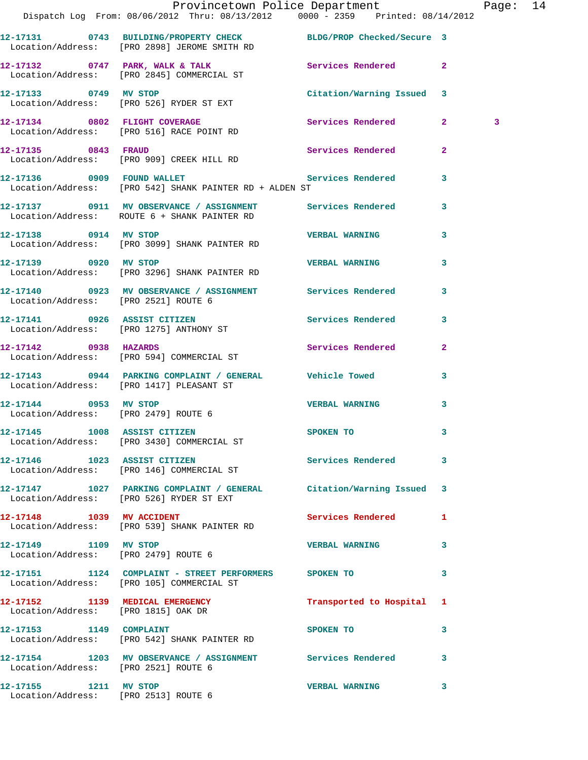|                                                               | Provincetown Police Department The Rage: 14<br>Dispatch Log From: 08/06/2012 Thru: 08/13/2012 0000 - 2359 Printed: 08/14/2012 |                           |                |   |  |
|---------------------------------------------------------------|-------------------------------------------------------------------------------------------------------------------------------|---------------------------|----------------|---|--|
|                                                               | 12-17131 0743 BUILDING/PROPERTY CHECK BLDG/PROP Checked/Secure 3<br>Location/Address: [PRO 2898] JEROME SMITH RD              |                           |                |   |  |
|                                                               | 12-17132 0747 PARK, WALK & TALK Services Rendered 2<br>Location/Address: [PRO 2845] COMMERCIAL ST                             |                           |                |   |  |
|                                                               |                                                                                                                               | Citation/Warning Issued 3 |                |   |  |
|                                                               | 12-17134 0802 FLIGHT COVERAGE<br>Location/Address: [PRO 516] RACE POINT RD                                                    | Services Rendered 2       |                | 3 |  |
|                                                               | 12-17135 0843 FRAUD<br>Location/Address: [PRO 909] CREEK HILL RD                                                              | Services Rendered         | $\overline{2}$ |   |  |
|                                                               | 12-17136 0909 FOUND WALLET Services Rendered 3<br>Location/Address: [PRO 542] SHANK PAINTER RD + ALDEN ST                     |                           |                |   |  |
|                                                               | 12-17137 0911 MV OBSERVANCE / ASSIGNMENT Services Rendered 3<br>Location/Address: ROUTE 6 + SHANK PAINTER RD                  |                           |                |   |  |
|                                                               | 12-17138 0914 MV STOP<br>Location/Address: [PRO 3099] SHANK PAINTER RD                                                        | <b>VERBAL WARNING</b>     | 3              |   |  |
| 12-17139 0920 MV STOP                                         | Location/Address: [PRO 3296] SHANK PAINTER RD                                                                                 | VERBAL WARNING            | $\mathbf{3}$   |   |  |
| Location/Address: [PRO 2521] ROUTE 6                          | 12-17140 0923 MV OBSERVANCE / ASSIGNMENT Services Rendered                                                                    |                           | $\mathbf{3}$   |   |  |
|                                                               | 12-17141 0926 ASSIST CITIZEN<br>Location/Address: [PRO 1275] ANTHONY ST                                                       | Services Rendered 3       |                |   |  |
|                                                               | 12-17142 0938 HAZARDS<br>Location/Address: [PRO 594] COMMERCIAL ST                                                            | Services Rendered 2       |                |   |  |
|                                                               | 12-17143 0944 PARKING COMPLAINT / GENERAL Vehicle Towed<br>  Location/Address: [PRO 1417] PLEASANT ST                         |                           | 3              |   |  |
| Location/Address: [PRO 2479] ROUTE 6                          | 12-17144 0953 MV STOP                                                                                                         | <b>VERBAL WARNING</b>     | $\mathbf{3}$   |   |  |
|                                                               | 12-17145 1008 ASSIST CITIZEN<br>Location/Address: [PRO 3430] COMMERCIAL ST                                                    | <b>SPOKEN TO</b>          |                |   |  |
|                                                               | 12-17146 1023 ASSIST CITIZEN<br>Location/Address: [PRO 146] COMMERCIAL ST                                                     | Services Rendered 3       |                |   |  |
|                                                               | 12-17147 1027 PARKING COMPLAINT / GENERAL Citation/Warning Issued 3<br>Location/Address: [PRO 526] RYDER ST EXT               |                           |                |   |  |
|                                                               | 12-17148 1039 MV ACCIDENT<br>Location/Address: [PRO 539] SHANK PAINTER RD                                                     | Services Rendered 1       |                |   |  |
| 12-17149 1109 MV STOP                                         | Location/Address: [PRO 2479] ROUTE 6                                                                                          | VERBAL WARNING 3          |                |   |  |
|                                                               | 12-17151 1124 COMPLAINT - STREET PERFORMERS SPOKEN TO<br>Location/Address: [PRO 105] COMMERCIAL ST                            |                           | 3              |   |  |
| Location/Address: [PRO 1815] OAK DR                           | 12-17152 1139 MEDICAL EMERGENCY                                                                                               | Transported to Hospital 1 |                |   |  |
|                                                               | 12-17153 1149 COMPLAINT<br>Location/Address: [PRO 542] SHANK PAINTER RD                                                       | SPOKEN TO                 | 3              |   |  |
| Location/Address: [PRO 2521] ROUTE 6                          | 12-17154 1203 MV OBSERVANCE / ASSIGNMENT Services Rendered 3                                                                  |                           |                |   |  |
| 12-17155 1211 MV STOP<br>Location/Address: [PRO 2513] ROUTE 6 |                                                                                                                               | <b>VERBAL WARNING</b>     | 3              |   |  |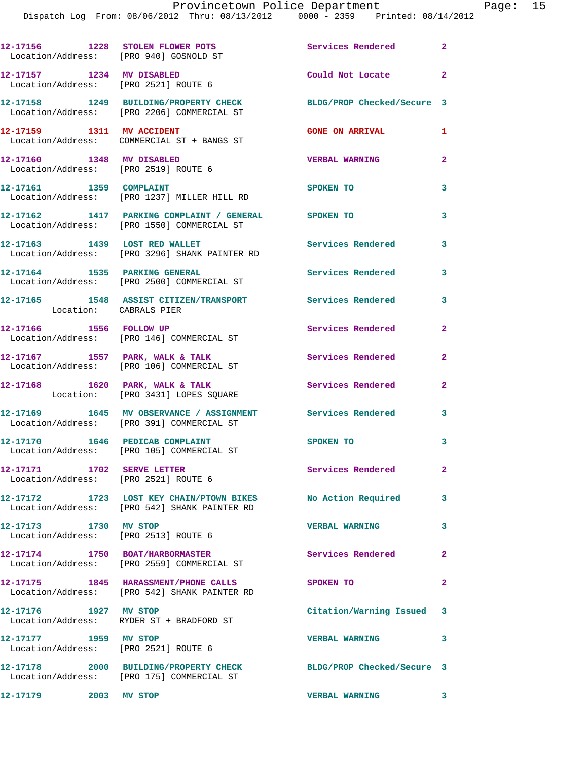| 12-17156 1228 STOLEN FLOWER POTS                                   | Location/Address: [PRO 940] GOSNOLD ST                                                                      | Services Rendered 2        |                            |
|--------------------------------------------------------------------|-------------------------------------------------------------------------------------------------------------|----------------------------|----------------------------|
| 12-17157 1234 MV DISABLED<br>Location/Address: [PRO 2521] ROUTE 6  |                                                                                                             | Could Not Locate           | $\overline{\phantom{0}}$ 2 |
|                                                                    | 12-17158 1249 BUILDING/PROPERTY CHECK<br>Location/Address: [PRO 2206] COMMERCIAL ST                         | BLDG/PROP Checked/Secure 3 |                            |
|                                                                    | 12-17159    1311    MV    ACCIDENT<br>Location/Address: COMMERCIAL ST + BANGS ST                            | <b>GONE ON ARRIVAL</b>     | 1                          |
| 12-17160 1348 MV DISABLED                                          | Location/Address: [PRO 2519] ROUTE 6                                                                        | <b>VERBAL WARNING</b>      | $\overline{2}$             |
| 12-17161 1359 COMPLAINT                                            | Location/Address: [PRO 1237] MILLER HILL RD                                                                 | SPOKEN TO                  | $\mathbf{3}$               |
|                                                                    | 12-17162 1417 PARKING COMPLAINT / GENERAL SPOKEN TO<br>Location/Address: [PRO 1550] COMMERCIAL ST           |                            | $\mathbf{3}$               |
|                                                                    | 12-17163 1439 LOST RED WALLET<br>Location/Address: [PRO 3296] SHANK PAINTER RD                              | <b>Services Rendered</b>   | $\mathbf{3}$               |
| 12-17164 1535 PARKING GENERAL                                      | Location/Address: [PRO 2500] COMMERCIAL ST                                                                  | <b>Services Rendered</b>   | $\mathbf{3}$               |
| Location: CABRALS PIER                                             | 12-17165 1548 ASSIST CITIZEN/TRANSPORT Services Rendered                                                    |                            | 3                          |
| 12-17166   1556   FOLLOW UP                                        | Location/Address: [PRO 146] COMMERCIAL ST                                                                   | Services Rendered          | $\overline{2}$             |
|                                                                    | 12-17167 1557 PARK, WALK & TALK<br>Location/Address: [PRO 106] COMMERCIAL ST                                | Services Rendered          | $\overline{2}$             |
|                                                                    | 12-17168 1620 PARK, WALK & TALK<br>Location: [PRO 3431] LOPES SQUARE                                        | <b>Services Rendered</b>   | $\overline{2}$             |
|                                                                    | 12-17169 1645 MV OBSERVANCE / ASSIGNMENT Services Rendered 3<br>Location/Address: [PRO 391] COMMERCIAL ST   |                            |                            |
|                                                                    | 12-17170 1646 PEDICAB COMPLAINT<br>Location/Address: [PRO 105] COMMERCIAL ST                                | SPOKEN TO                  | 3                          |
| 12-17171 1702 SERVE LETTER<br>Location/Address: [PRO 2521] ROUTE 6 |                                                                                                             | Services Rendered          | $\mathbf{2}$               |
|                                                                    | 12-17172 1723 LOST KEY CHAIN/PTOWN BIKES No Action Required<br>Location/Address: [PRO 542] SHANK PAINTER RD |                            | 3                          |
| 12-17173 1730 MV STOP<br>Location/Address: [PRO 2513] ROUTE 6      |                                                                                                             | <b>VERBAL WARNING</b>      | 3                          |
|                                                                    | 12-17174 1750 BOAT/HARBORMASTER<br>Location/Address: [PRO 2559] COMMERCIAL ST                               | Services Rendered          | $\mathbf{2}$               |
|                                                                    | 12-17175 1845 HARASSMENT/PHONE CALLS<br>Location/Address: [PRO 542] SHANK PAINTER RD                        | SPOKEN TO                  | $\mathbf{2}$               |
| 12-17176 1927 MV STOP                                              | Location/Address: RYDER ST + BRADFORD ST                                                                    | Citation/Warning Issued 3  |                            |
| 12-17177 1959 MV STOP                                              | Location/Address: [PRO 2521] ROUTE 6                                                                        | <b>VERBAL WARNING</b>      | 3                          |
|                                                                    | 12-17178 2000 BUILDING/PROPERTY CHECK<br>Location/Address: [PRO 175] COMMERCIAL ST                          | BLDG/PROP Checked/Secure 3 |                            |
| 12-17179 2003 MV STOP                                              |                                                                                                             | <b>VERBAL WARNING</b>      |                            |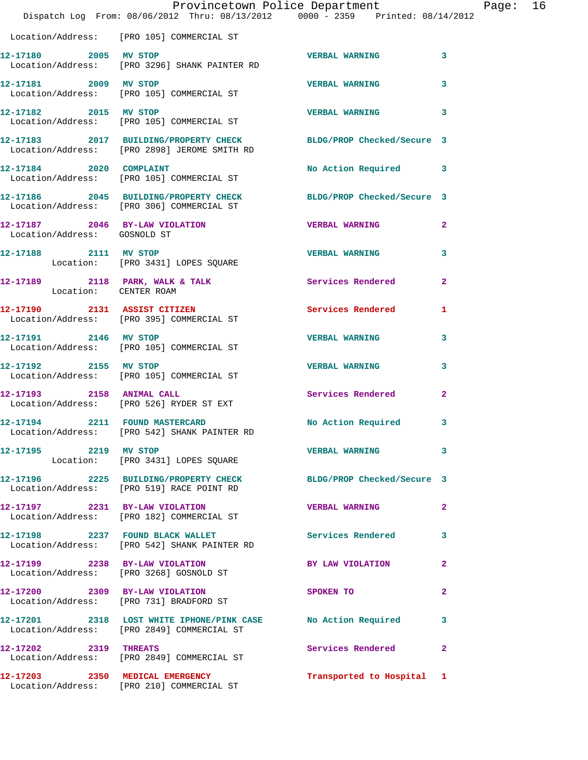|                              | Dispatch Log From: 08/06/2012 Thru: 08/13/2012   0000 - 2359   Printed: 08/14/2012                               | Provincetown Police Department |              | Page: 16 |
|------------------------------|------------------------------------------------------------------------------------------------------------------|--------------------------------|--------------|----------|
|                              | Location/Address: [PRO 105] COMMERCIAL ST                                                                        |                                |              |          |
| 12-17180 2005 MV STOP        | Location/Address: [PRO 3296] SHANK PAINTER RD                                                                    | <b>VERBAL WARNING</b>          | $\mathbf{3}$ |          |
|                              | 12-17181 2009 MV STOP<br>Location/Address: [PRO 105] COMMERCIAL ST                                               | <b>VERBAL WARNING</b>          | 3            |          |
| 12-17182 2015 MV STOP        | Location/Address: [PRO 105] COMMERCIAL ST                                                                        | VERBAL WARNING 3               |              |          |
|                              | 12-17183 2017 BUILDING/PROPERTY CHECK BLDG/PROP Checked/Secure 3<br>Location/Address: [PRO 2898] JEROME SMITH RD |                                |              |          |
|                              | 12-17184 2020 COMPLAINT<br>Location/Address: [PRO 105] COMMERCIAL ST                                             | No Action Required 3           |              |          |
|                              | 12-17186 2045 BUILDING/PROPERTY CHECK BLDG/PROP Checked/Secure 3<br>Location/Address: [PRO 306] COMMERCIAL ST    |                                |              |          |
| Location/Address: GOSNOLD ST | 12-17187 2046 BY-LAW VIOLATION VERBAL WARNING                                                                    |                                | $\mathbf{2}$ |          |
|                              | 12-17188 2111 MV STOP<br>Location: [PRO 3431] LOPES SQUARE                                                       | <b>VERBAL WARNING</b>          | 3            |          |
| Location: CENTER ROAM        | 12-17189 2118 PARK, WALK & TALK 2008 Services Rendered                                                           |                                | $\mathbf{2}$ |          |
|                              | 12-17190 2131 ASSIST CITIZEN<br>Location/Address: [PRO 395] COMMERCIAL ST                                        | Services Rendered 1            |              |          |
| 12-17191 2146 MV STOP        | Location/Address: [PRO 105] COMMERCIAL ST                                                                        | <b>VERBAL WARNING</b>          | 3            |          |
|                              | 12-17192 2155 MV STOP<br>Location/Address: [PRO 105] COMMERCIAL ST                                               | <b>VERBAL WARNING</b>          | 3            |          |
|                              | 12-17193 2158 ANIMAL CALL<br>Location/Address: [PRO 526] RYDER ST EXT                                            | Services Rendered              | $\mathbf{2}$ |          |
|                              | 12-17194 2211 FOUND MASTERCARD<br>Location/Address: [PRO 542] SHANK PAINTER RD                                   | No Action Required 3           |              |          |
| 12-17195 2219 MV STOP        | Location: [PRO 3431] LOPES SQUARE                                                                                | VERBAL WARNING 3               |              |          |
|                              | 12-17196 2225 BUILDING/PROPERTY CHECK BLDG/PROP Checked/Secure 3<br>Location/Address: [PRO 519] RACE POINT RD    |                                |              |          |
|                              | 12-17197 2231 BY-LAW VIOLATION VERBAL WARNING 2<br>Location/Address: [PRO 182] COMMERCIAL ST                     |                                |              |          |
|                              | 12-17198 2237 FOUND BLACK WALLET<br>Location/Address: [PRO 542] SHANK PAINTER RD                                 | Services Rendered 3            |              |          |
|                              | 12-17199 2238 BY-LAW VIOLATION<br>Location/Address: [PRO 3268] GOSNOLD ST                                        | BY LAW VIOLATION               | $\mathbf{2}$ |          |
|                              | 12-17200 2309 BY-LAW VIOLATION<br>Location/Address: [PRO 731] BRADFORD ST                                        | SPOKEN TO                      | $\mathbf{2}$ |          |
|                              | 12-17201 2318 LOST WHITE IPHONE/PINK CASE No Action Required 3<br>Location/Address: [PRO 2849] COMMERCIAL ST     |                                |              |          |
|                              | 12-17202 2319 THREATS<br>Location/Address: [PRO 2849] COMMERCIAL ST                                              | Services Rendered 2            |              |          |
|                              | 12-17203 2350 MEDICAL EMERGENCY<br>Location/Address: [PRO 210] COMMERCIAL ST                                     | Transported to Hospital 1      |              |          |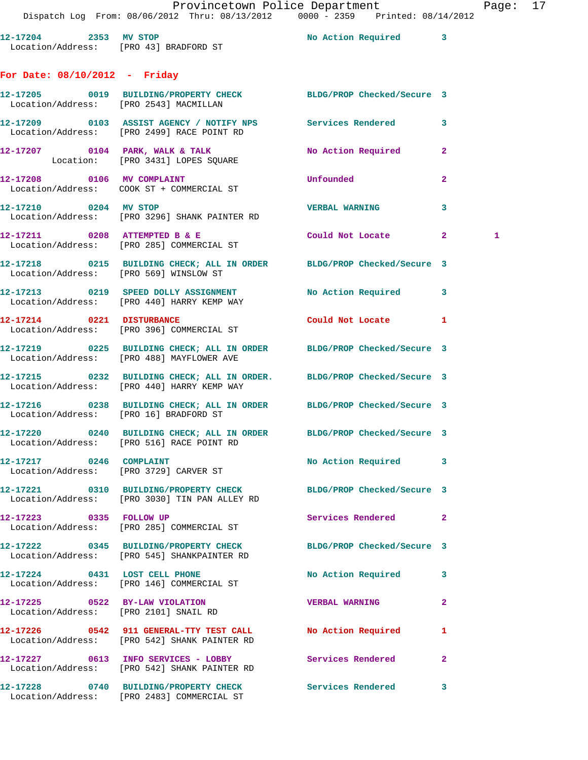12-17204 2353 MV STOP 2000 2000 No Action Required 3 Location/Address: [PRO 43] BRADFORD ST **For Date: 08/10/2012 - Friday 12-17205 0019 BUILDING/PROPERTY CHECK BLDG/PROP Checked/Secure 3**  Location/Address: [PRO 2543] MACMILLAN **12-17209 0103 ASSIST AGENCY / NOTIFY NPS Services Rendered 3**  Location/Address: [PRO 2499] RACE POINT RD **12-17207 0104 PARK, WALK & TALK No Action Required 2**  Location: [PRO 3431] LOPES SQUARE **12-17208 0106 MV COMPLAINT Unfounded 2**  Location/Address: COOK ST + COMMERCIAL ST **12-17210 0204 MV STOP VERBAL WARNING 3**  Location/Address: [PRO 3296] SHANK PAINTER RD **12-17211 0208 ATTEMPTED B & E Could Not Locate 2 1**  Location/Address: [PRO 285] COMMERCIAL ST **12-17218 0215 BUILDING CHECK; ALL IN ORDER BLDG/PROP Checked/Secure 3**  Location/Address: [PRO 569] WINSLOW ST **12-17213 0219 SPEED DOLLY ASSIGNMENT No Action Required 3**  Location/Address: [PRO 440] HARRY KEMP WAY **12-17214 0221 DISTURBANCE Could Not Locate 1**  Location/Address: [PRO 396] COMMERCIAL ST **12-17219 0225 BUILDING CHECK; ALL IN ORDER BLDG/PROP Checked/Secure 3**  Location/Address: [PRO 488] MAYFLOWER AVE **12-17215 0232 BUILDING CHECK; ALL IN ORDER. BLDG/PROP Checked/Secure 3**  Location/Address: [PRO 440] HARRY KEMP WAY **12-17216 0238 BUILDING CHECK; ALL IN ORDER BLDG/PROP Checked/Secure 3**  Location/Address: [PRO 16] BRADFORD ST **12-17220 0240 BUILDING CHECK; ALL IN ORDER BLDG/PROP Checked/Secure 3**  Location/Address: [PRO 516] RACE POINT RD 12-17217 0246 COMPLAINT **No Action Required** 3 Location/Address: [PRO 3729] CARVER ST **12-17221 0310 BUILDING/PROPERTY CHECK BLDG/PROP Checked/Secure 3**  Location/Address: [PRO 3030] TIN PAN ALLEY RD **12-17223 0335 FOLLOW UP Services Rendered 2**  Location/Address: [PRO 285] COMMERCIAL ST **12-17222 0345 BUILDING/PROPERTY CHECK BLDG/PROP Checked/Secure 3**  Location/Address: [PRO 545] SHANKPAINTER RD **12-17224 0431 LOST CELL PHONE No Action Required 3**  Location/Address: [PRO 146] COMMERCIAL ST **12-17225 0522 BY-LAW VIOLATION VERBAL WARNING 2**  Location/Address: [PRO 2101] SNAIL RD **12-17226 0542 911 GENERAL-TTY TEST CALL No Action Required 1**  Location/Address: [PRO 542] SHANK PAINTER RD **12-17227 0613 INFO SERVICES - LOBBY Services Rendered 2**  Location/Address: [PRO 542] SHANK PAINTER RD

**12-17228 0740 BUILDING/PROPERTY CHECK Services Rendered 3** 

Location/Address: [PRO 2483] COMMERCIAL ST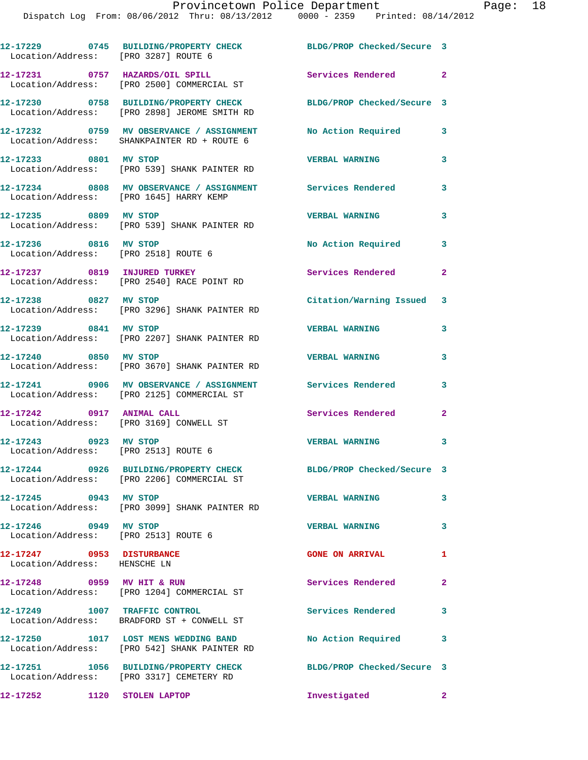| Location/Address: [PRO 3287] ROUTE 6                          | 12-17229 0745 BUILDING/PROPERTY CHECK                                                                    | BLDG/PROP Checked/Secure 3 |                |
|---------------------------------------------------------------|----------------------------------------------------------------------------------------------------------|----------------------------|----------------|
|                                                               | 12-17231 0757 HAZARDS/OIL SPILL<br>Location/Address: [PRO 2500] COMMERCIAL ST                            | Services Rendered 2        |                |
|                                                               | 12-17230 0758 BUILDING/PROPERTY CHECK<br>Location/Address: [PRO 2898] JEROME SMITH RD                    | BLDG/PROP Checked/Secure 3 |                |
|                                                               | 12-17232 0759 MV OBSERVANCE / ASSIGNMENT<br>Location/Address: SHANKPAINTER RD + ROUTE 6                  | <b>No Action Required</b>  | 3              |
| 12-17233 0801 MV STOP                                         | Location/Address: [PRO 539] SHANK PAINTER RD                                                             | <b>VERBAL WARNING</b>      | 3              |
|                                                               | 12-17234 0808 MV OBSERVANCE / ASSIGNMENT Services Rendered<br>Location/Address: [PRO 1645] HARRY KEMP    |                            | 3              |
| 12-17235 0809 MV STOP                                         | Location/Address: [PRO 539] SHANK PAINTER RD                                                             | <b>VERBAL WARNING</b>      | 3              |
| 12-17236 0816 MV STOP<br>Location/Address: [PRO 2518] ROUTE 6 |                                                                                                          | No Action Required         | 3              |
|                                                               | 12-17237 0819 INJURED TURKEY<br>Location/Address: [PRO 2540] RACE POINT RD                               | Services Rendered          | $\mathbf{2}$   |
|                                                               | 12-17238 0827 MV STOP<br>Location/Address: [PRO 3296] SHANK PAINTER RD                                   | Citation/Warning Issued 3  |                |
| 12-17239 0841 MV STOP                                         | Location/Address: [PRO 2207] SHANK PAINTER RD                                                            | <b>VERBAL WARNING</b>      | 3              |
| 12-17240 0850 MV STOP                                         | Location/Address: [PRO 3670] SHANK PAINTER RD                                                            | <b>VERBAL WARNING</b>      | 3              |
|                                                               | 12-17241 0906 MV OBSERVANCE / ASSIGNMENT Services Rendered<br>Location/Address: [PRO 2125] COMMERCIAL ST |                            | 3              |
|                                                               | 12-17242 0917 ANIMAL CALL<br>Location/Address: [PRO 3169] CONWELL ST                                     | Services Rendered          | $\overline{2}$ |
| 12-17243 0923 MV STOP<br>Location/Address: [PRO 2513] ROUTE 6 |                                                                                                          | <b>VERBAL WARNING</b>      | 3              |
|                                                               | 12-17244 0926 BUILDING/PROPERTY CHECK<br>Location/Address: [PRO 2206] COMMERCIAL ST                      | BLDG/PROP Checked/Secure 3 |                |
| 12-17245 0943 MV STOP                                         | Location/Address: [PRO 3099] SHANK PAINTER RD                                                            | <b>VERBAL WARNING</b>      | 3              |
| 12-17246 0949 MV STOP<br>Location/Address: [PRO 2513] ROUTE 6 |                                                                                                          | <b>VERBAL WARNING</b>      | 3              |
| 12-17247 0953 DISTURBANCE<br>Location/Address: HENSCHE LN     |                                                                                                          | <b>GONE ON ARRIVAL</b>     | 1              |
| 12-17248 0959 MV HIT & RUN                                    | Location/Address: [PRO 1204] COMMERCIAL ST                                                               | Services Rendered          | $\mathbf{2}$   |
| 12-17249 1007 TRAFFIC CONTROL                                 | Location/Address: BRADFORD ST + CONWELL ST                                                               | Services Rendered          | 3              |
|                                                               | 12-17250 1017 LOST MENS WEDDING BAND<br>Location/Address: [PRO 542] SHANK PAINTER RD                     | No Action Required         | 3              |
|                                                               | 12-17251 1056 BUILDING/PROPERTY CHECK<br>Location/Address: [PRO 3317] CEMETERY RD                        | BLDG/PROP Checked/Secure 3 |                |
| 12-17252 1120 STOLEN LAPTOP                                   |                                                                                                          | Investigated<br>$\sim$ 2   |                |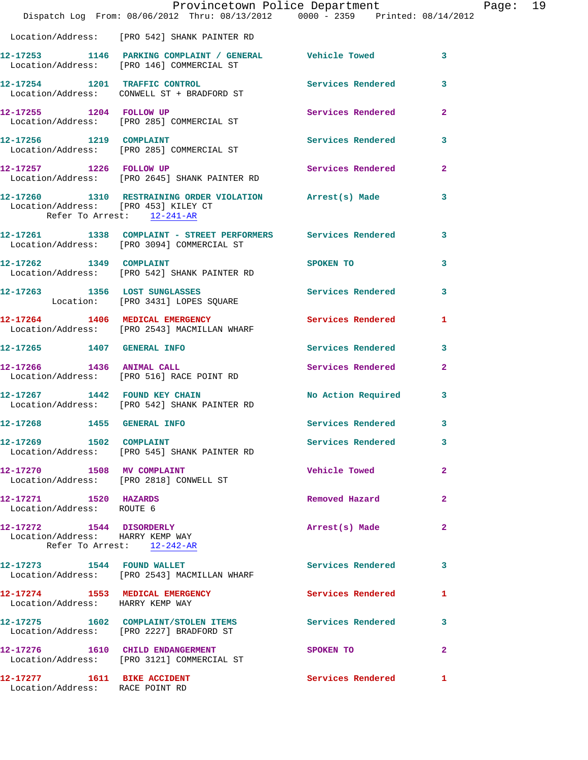|                                                                    | Dispatch Log From: 08/06/2012 Thru: 08/13/2012   0000 - 2359   Printed: 08/14/2012                          | Provincetown Police Department |                | Page: 19 |  |
|--------------------------------------------------------------------|-------------------------------------------------------------------------------------------------------------|--------------------------------|----------------|----------|--|
|                                                                    | Location/Address: [PRO 542] SHANK PAINTER RD                                                                |                                |                |          |  |
|                                                                    |                                                                                                             |                                | 3              |          |  |
|                                                                    | 12-17254 1201 TRAFFIC CONTROL Services Rendered<br>Location/Address: CONWELL ST + BRADFORD ST               |                                | 3              |          |  |
|                                                                    | 12-17255 1204 FOLLOW UP<br>Location/Address: [PRO 285] COMMERCIAL ST                                        | <b>Services Rendered</b>       | $\overline{2}$ |          |  |
|                                                                    | 12-17256 1219 COMPLAINT<br>Location/Address: [PRO 285] COMMERCIAL ST                                        | Services Rendered              | 3              |          |  |
| 12-17257 1226 FOLLOW UP                                            | Location/Address: [PRO 2645] SHANK PAINTER RD                                                               | Services Rendered 2            |                |          |  |
| Location/Address: [PRO 453] KILEY CT<br>Refer To Arrest: 12-241-AR | 12-17260 1310 RESTRAINING ORDER VIOLATION Arrest(s) Made                                                    |                                | 3              |          |  |
|                                                                    | 12-17261 1338 COMPLAINT - STREET PERFORMERS Services Rendered<br>Location/Address: [PRO 3094] COMMERCIAL ST |                                | $\mathbf{3}$   |          |  |
|                                                                    | 12-17262 1349 COMPLAINT<br>Location/Address: [PRO 542] SHANK PAINTER RD                                     | SPOKEN TO                      | 3              |          |  |
|                                                                    | 12-17263 1356 LOST SUNGLASSES<br>Location: [PRO 3431] LOPES SQUARE                                          | <b>Services Rendered</b>       | 3              |          |  |
|                                                                    | 12-17264 1406 MEDICAL EMERGENCY<br>Location/Address: [PRO 2543] MACMILLAN WHARF                             | Services Rendered 1            |                |          |  |
| 12-17265 1407 GENERAL INFO                                         |                                                                                                             | Services Rendered              | 3              |          |  |
|                                                                    | 12-17266 1436 ANIMAL CALL<br>Location/Address: [PRO 516] RACE POINT RD                                      | Services Rendered              | $\mathbf{2}$   |          |  |
|                                                                    | 12-17267 1442 FOUND KEY CHAIN<br>Location/Address: [PRO 542] SHANK PAINTER RD                               | No Action Required             | $\mathbf{3}$   |          |  |
| 12-17268 1455 GENERAL INFO                                         |                                                                                                             | Services Rendered              | 3              |          |  |
|                                                                    | 12-17269 1502 COMPLAINT<br>Location/Address: [PRO 545] SHANK PAINTER RD                                     | Services Rendered              | 3              |          |  |
|                                                                    | 12-17270 1508 MV COMPLAINT<br>Location/Address: [PRO 2818] CONWELL ST                                       | <b>Vehicle Towed State</b>     | $\overline{2}$ |          |  |
| 12-17271 1520 HAZARDS<br>Location/Address: ROUTE 6                 |                                                                                                             | Removed Hazard                 | $\mathbf{2}$   |          |  |
| 12-17272 1544 DISORDERLY<br>Location/Address: HARRY KEMP WAY       | Refer To Arrest: 12-242-AR                                                                                  | Arrest(s) Made                 | 2              |          |  |
|                                                                    | 12-17273 1544 FOUND WALLET<br>Location/Address: [PRO 2543] MACMILLAN WHARF                                  | Services Rendered              | 3              |          |  |
| Location/Address: HARRY KEMP WAY                                   | 12-17274 1553 MEDICAL EMERGENCY                                                                             | Services Rendered              | 1              |          |  |
|                                                                    | 12-17275 1602 COMPLAINT/STOLEN ITEMS Services Rendered<br>Location/Address: [PRO 2227] BRADFORD ST          |                                | 3              |          |  |
|                                                                    | 12-17276 1610 CHILD ENDANGERMENT<br>Location/Address: [PRO 3121] COMMERCIAL ST                              | SPOKEN TO                      | $\mathbf{2}$   |          |  |
| 12-17277 1611 BIKE ACCIDENT<br>Location/Address: RACE POINT RD     |                                                                                                             | Services Rendered              | 1              |          |  |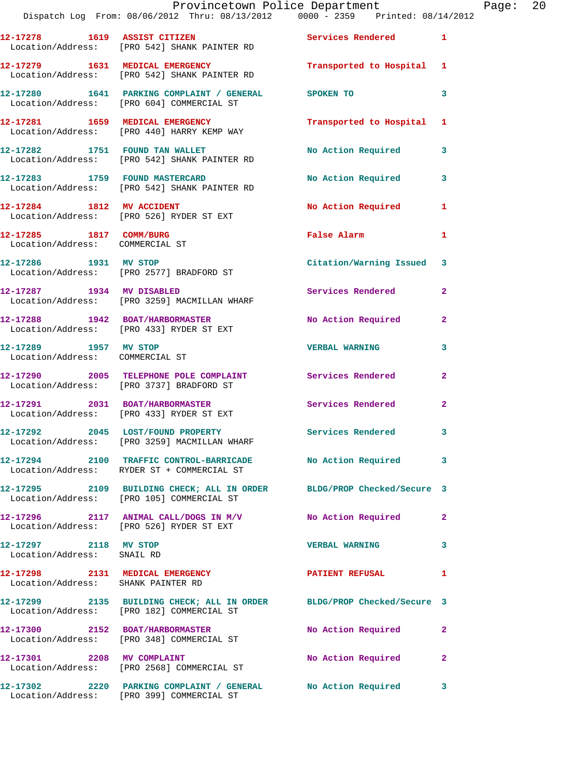|                                                          | Dispatch Log From: 08/06/2012 Thru: 08/13/2012   0000 - 2359   Printed: 08/14/2012                                 | Provincetown Police Department |                         | Page: 20 |  |
|----------------------------------------------------------|--------------------------------------------------------------------------------------------------------------------|--------------------------------|-------------------------|----------|--|
|                                                          | 12-17278 1619 ASSIST CITIZEN Services Rendered 1<br>Location/Address: [PRO 542] SHANK PAINTER RD                   |                                |                         |          |  |
|                                                          | 12-17279 1631 MEDICAL EMERGENCY Transported to Hospital 1<br>Location/Address: [PRO 542] SHANK PAINTER RD          |                                |                         |          |  |
|                                                          | 12-17280 1641 PARKING COMPLAINT / GENERAL SPOKEN TO<br>Location/Address: [PRO 604] COMMERCIAL ST                   |                                | 3                       |          |  |
|                                                          | 12-17281         1659   MEDICAL EMERGENCY<br>Location/Address:    [PRO 440] HARRY KEMP WAY                         | Transported to Hospital 1      |                         |          |  |
|                                                          | 12-17282 1751 FOUND TAN WALLET<br>Location/Address: [PRO 542] SHANK PAINTER RD                                     | No Action Required 3           |                         |          |  |
|                                                          | 12-17283 1759 FOUND MASTERCARD<br>Location/Address: [PRO 542] SHANK PAINTER RD                                     | No Action Required             | $\overline{\mathbf{3}}$ |          |  |
|                                                          | 12-17284 1812 MV ACCIDENT<br>Location/Address: [PRO 526] RYDER ST EXT                                              | No Action Required 1           |                         |          |  |
| Location/Address: COMMERCIAL ST                          | 12-17285 1817 COMM/BURG                                                                                            | False Alarm                    | 1                       |          |  |
|                                                          | 12-17286 1931 MV STOP<br>Location/Address: [PRO 2577] BRADFORD ST                                                  | Citation/Warning Issued 3      |                         |          |  |
|                                                          | 12-17287 1934 MV DISABLED<br>Location/Address: [PRO 3259] MACMILLAN WHARF                                          | Services Rendered              | $\mathbf{2}$            |          |  |
|                                                          | 12-17288 1942 BOAT/HARBORMASTER<br>Location/Address: [PRO 433] RYDER ST EXT                                        | No Action Required 2           |                         |          |  |
| 12-17289 1957 MV STOP<br>Location/Address: COMMERCIAL ST |                                                                                                                    | <b>VERBAL WARNING</b>          | 3                       |          |  |
|                                                          | 12-17290 2005 TELEPHONE POLE COMPLAINT Services Rendered<br>Location/Address: [PRO 3737] BRADFORD ST               |                                | $\mathbf{2}$            |          |  |
|                                                          | 12-17291 2031 BOAT/HARBORMASTER<br>Location/Address: [PRO 433] RYDER ST EXT                                        | Services Rendered              | $\mathbf{2}$            |          |  |
|                                                          | 12-17292 2045 LOST/FOUND PROPERTY<br>Location/Address: [PRO 3259] MACMILLAN WHARF                                  | Services Rendered              |                         |          |  |
|                                                          | 12-17294 2100 TRAFFIC CONTROL-BARRICADE No Action Required 3<br>Location/Address: RYDER ST + COMMERCIAL ST         |                                |                         |          |  |
|                                                          | 12-17295 2109 BUILDING CHECK; ALL IN ORDER BLDG/PROP Checked/Secure 3<br>Location/Address: [PRO 105] COMMERCIAL ST |                                |                         |          |  |
|                                                          | 12-17296 2117 ANIMAL CALL/DOGS IN M/V No Action Required 2<br>Location/Address: [PRO 526] RYDER ST EXT             |                                |                         |          |  |
| 12-17297 2118 MV STOP<br>Location/Address: SNAIL RD      |                                                                                                                    | VERBAL WARNING 3               |                         |          |  |
| Location/Address: SHANK PAINTER RD                       | 12-17298 2131 MEDICAL EMERGENCY PATIENT REFUSAL                                                                    |                                | 1                       |          |  |
|                                                          | 12-17299 2135 BUILDING CHECK; ALL IN ORDER BLDG/PROP Checked/Secure 3<br>Location/Address: [PRO 182] COMMERCIAL ST |                                |                         |          |  |
|                                                          | 12-17300 2152 BOAT/HARBORMASTER<br>Location/Address: [PRO 348] COMMERCIAL ST                                       | No Action Required             | -2                      |          |  |
| 12-17301 2208 MV COMPLAINT                               | Location/Address: [PRO 2568] COMMERCIAL ST                                                                         | No Action Required             | $\mathbf{2}$            |          |  |
|                                                          | 12-17302 2220 PARKING COMPLAINT / GENERAL No Action Required 3                                                     |                                |                         |          |  |

Location/Address: [PRO 399] COMMERCIAL ST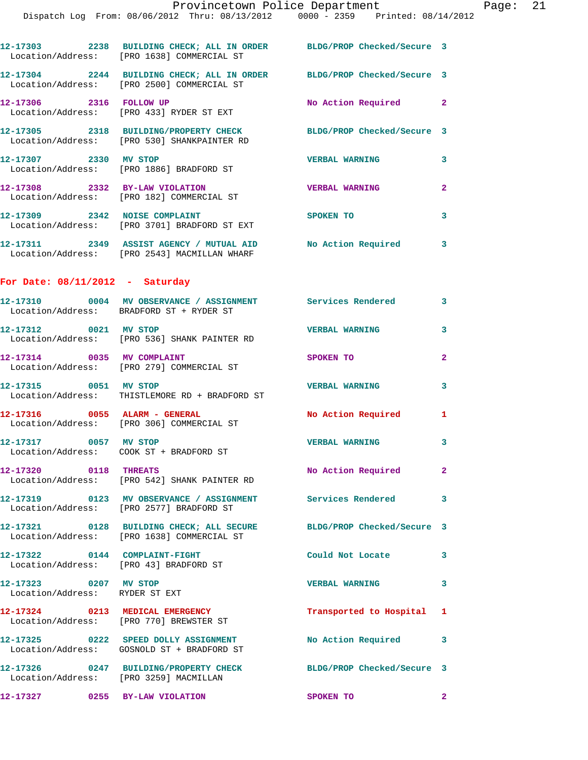|                                                                         | 12-17303 2238 BUILDING CHECK; ALL IN ORDER BLDG/PROP Checked/Secure 3<br>Location/Address: [PRO 1638] COMMERCIAL ST |                            |                         |
|-------------------------------------------------------------------------|---------------------------------------------------------------------------------------------------------------------|----------------------------|-------------------------|
|                                                                         | 12-17304 2244 BUILDING CHECK; ALL IN ORDER BLDG/PROP Checked/Secure 3<br>Location/Address: [PRO 2500] COMMERCIAL ST |                            |                         |
| 12-17306 2316 FOLLOW UP                                                 | Location/Address: [PRO 433] RYDER ST EXT                                                                            | No Action Required 2       |                         |
|                                                                         | 12-17305 2318 BUILDING/PROPERTY CHECK<br>Location/Address: [PRO 530] SHANKPAINTER RD                                | BLDG/PROP Checked/Secure 3 |                         |
| 12-17307 2330 MV STOP                                                   | Location/Address: [PRO 1886] BRADFORD ST                                                                            | <b>VERBAL WARNING</b>      | 3                       |
|                                                                         | 12-17308 2332 BY-LAW VIOLATION<br>Location/Address: [PRO 182] COMMERCIAL ST                                         | <b>VERBAL WARNING</b>      | $\overline{2}$          |
|                                                                         | 12-17309 2342 NOISE COMPLAINT<br>Location/Address: [PRO 3701] BRADFORD ST EXT                                       | <b>SPOKEN TO</b>           | 3                       |
|                                                                         | 12-17311 2349 ASSIST AGENCY / MUTUAL AID No Action Required 3<br>Location/Address: [PRO 2543] MACMILLAN WHARF       |                            |                         |
| For Date: $08/11/2012$ - Saturday                                       |                                                                                                                     |                            |                         |
|                                                                         | 12-17310 0004 MV OBSERVANCE / ASSIGNMENT Services Rendered 3<br>Location/Address: BRADFORD ST + RYDER ST            |                            |                         |
| 12-17312 0021 MV STOP                                                   | Location/Address: [PRO 536] SHANK PAINTER RD                                                                        | <b>VERBAL WARNING</b>      | 3                       |
| 12-17314 0035 MV COMPLAINT                                              | Location/Address: [PRO 279] COMMERCIAL ST                                                                           | SPOKEN TO                  | $\overline{a}$          |
| 12-17315 0051 MV STOP                                                   | Location/Address: THISTLEMORE RD + BRADFORD ST                                                                      | <b>VERBAL WARNING</b>      | 3                       |
| $12-17316$ 0055 ALARM - GENERAL                                         | Location/Address: [PRO 306] COMMERCIAL ST                                                                           | No Action Required 1       |                         |
| 12-17317 0057 MV STOP                                                   | Location/Address: COOK ST + BRADFORD ST                                                                             | <b>VERBAL WARNING</b>      | 3                       |
| 12-17320 0118 THREATS                                                   | Location/Address: [PRO 542] SHANK PAINTER RD                                                                        | No Action Required         |                         |
|                                                                         | 12-17319 0123 MV OBSERVANCE / ASSIGNMENT Services Rendered 3<br>Location/Address: [PRO 2577] BRADFORD ST            |                            |                         |
|                                                                         | 12-17321 0128 BUILDING CHECK; ALL SECURE BLDG/PROP Checked/Secure 3<br>Location/Address: [PRO 1638] COMMERCIAL ST   |                            |                         |
| 12-17322 0144 COMPLAINT-FIGHT<br>Location/Address: [PRO 43] BRADFORD ST |                                                                                                                     | Could Not Locate           | 3                       |
| 12-17323 0207 MV STOP<br>Location/Address: RYDER ST EXT                 |                                                                                                                     | <b>VERBAL WARNING</b>      | $\overline{\mathbf{3}}$ |
|                                                                         | 12-17324 0213 MEDICAL EMERGENCY<br>Location/Address: [PRO 770] BREWSTER ST                                          | Transported to Hospital 1  |                         |
|                                                                         | 12-17325 0222 SPEED DOLLY ASSIGNMENT<br>Location/Address: GOSNOLD ST + BRADFORD ST                                  | No Action Required         | 3                       |
| Location/Address: [PRO 3259] MACMILLAN                                  | 12-17326 0247 BUILDING/PROPERTY CHECK                                                                               | BLDG/PROP Checked/Secure 3 |                         |
| 12-17327 0255 BY-LAW VIOLATION                                          |                                                                                                                     | SPOKEN TO                  | $\mathbf{2}$            |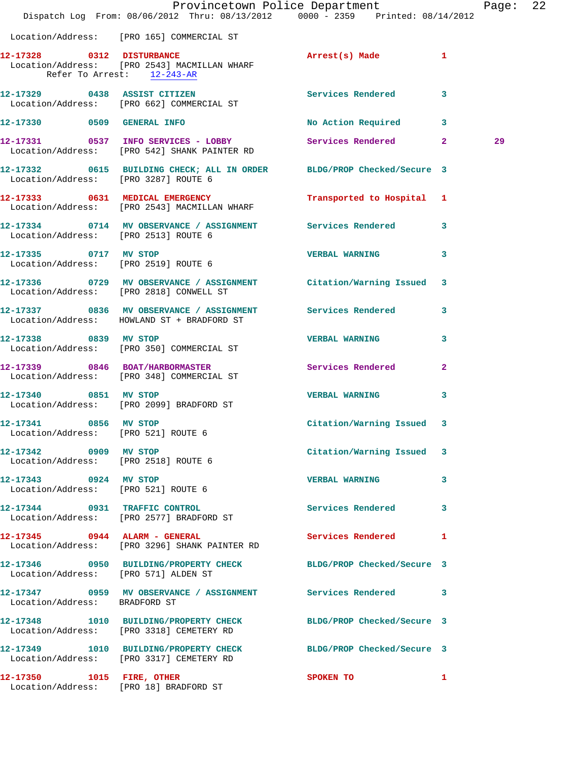|                                                               | Dispatch Log From: 08/06/2012 Thru: 08/13/2012 0000 - 2359 Printed: 08/14/2012                                | Provincetown Police Department |              | Page: 22 |  |
|---------------------------------------------------------------|---------------------------------------------------------------------------------------------------------------|--------------------------------|--------------|----------|--|
|                                                               | Location/Address: [PRO 165] COMMERCIAL ST                                                                     |                                |              |          |  |
|                                                               | 12-17328 0312 DISTURBANCE<br>Location/Address: [PRO 2543] MACMILLAN WHARF<br>Refer To Arrest: 12-243-AR       | Arrest(s) Made 1               |              |          |  |
|                                                               | 12-17329 0438 ASSIST CITIZEN<br>Location/Address: [PRO 662] COMMERCIAL ST                                     | <b>Services Rendered</b>       | 3            |          |  |
|                                                               | 12-17330 0509 GENERAL INFO                                                                                    | No Action Required 3           |              |          |  |
|                                                               | 12-17331 0537 INFO SERVICES - LOBBY<br>Location/Address: [PRO 542] SHANK PAINTER RD                           | Services Rendered 2            |              | 29       |  |
| Location/Address: [PRO 3287] ROUTE 6                          | 12-17332 0615 BUILDING CHECK; ALL IN ORDER BLDG/PROP Checked/Secure 3                                         |                                |              |          |  |
|                                                               | 12-17333 0631 MEDICAL EMERGENCY<br>Location/Address: [PRO 2543] MACMILLAN WHARF                               | Transported to Hospital 1      |              |          |  |
| Location/Address: [PRO 2513] ROUTE 6                          | 12-17334 0714 MV OBSERVANCE / ASSIGNMENT Services Rendered 3                                                  |                                |              |          |  |
| 12-17335 0717 MV STOP<br>Location/Address: [PRO 2519] ROUTE 6 |                                                                                                               | <b>VERBAL WARNING</b>          | 3            |          |  |
|                                                               | 12-17336 0729 MV OBSERVANCE / ASSIGNMENT Citation/Warning Issued 3<br>Location/Address: [PRO 2818] CONWELL ST |                                |              |          |  |
|                                                               | 12-17337 0836 MV OBSERVANCE / ASSIGNMENT Services Rendered<br>Location/Address: HOWLAND ST + BRADFORD ST      |                                | $\mathbf{3}$ |          |  |
| 12-17338 0839 MV STOP                                         | Location/Address: [PRO 350] COMMERCIAL ST                                                                     | <b>VERBAL WARNING</b>          | 3            |          |  |
|                                                               | 12-17339 0846 BOAT/HARBORMASTER<br>Location/Address: [PRO 348] COMMERCIAL ST                                  | Services Rendered              | $\mathbf{2}$ |          |  |
| 12-17340 0851 MV STOP                                         | Location/Address: [PRO 2099] BRADFORD ST                                                                      | <b>VERBAL WARNING</b>          | 3            |          |  |
| 12-17341 0856 MV STOP<br>Location/Address: [PRO 521] ROUTE 6  |                                                                                                               | Citation/Warning Issued 3      |              |          |  |
| 12-17342 0909 MV STOP<br>Location/Address: [PRO 2518] ROUTE 6 |                                                                                                               | Citation/Warning Issued 3      |              |          |  |
| 12-17343 0924 MV STOP<br>Location/Address: [PRO 521] ROUTE 6  |                                                                                                               | <b>VERBAL WARNING</b>          | 3            |          |  |
|                                                               | 12-17344 0931 TRAFFIC CONTROL<br>Location/Address: [PRO 2577] BRADFORD ST                                     | Services Rendered 3            |              |          |  |
|                                                               | $12-17345$ 0944 ALARM - GENERAL<br>Location/Address: [PRO 3296] SHANK PAINTER RD                              | Services Rendered 1            |              |          |  |
| Location/Address: [PRO 571] ALDEN ST                          | 12-17346 0950 BUILDING/PROPERTY CHECK BLDG/PROP Checked/Secure 3                                              |                                |              |          |  |
| Location/Address: BRADFORD ST                                 | 12-17347 0959 MV OBSERVANCE / ASSIGNMENT Services Rendered 3                                                  |                                |              |          |  |
|                                                               | 12-17348 1010 BUILDING/PROPERTY CHECK BLDG/PROP Checked/Secure 3<br>Location/Address: [PRO 3318] CEMETERY RD  |                                |              |          |  |
|                                                               | 12-17349 1010 BUILDING/PROPERTY CHECK<br>Location/Address: [PRO 3317] CEMETERY RD                             | BLDG/PROP Checked/Secure 3     |              |          |  |
|                                                               | 12-17350 1015 FIRE, OTHER<br>Location/Address: [PRO 18] BRADFORD ST                                           | SPOKEN TO                      | 1            |          |  |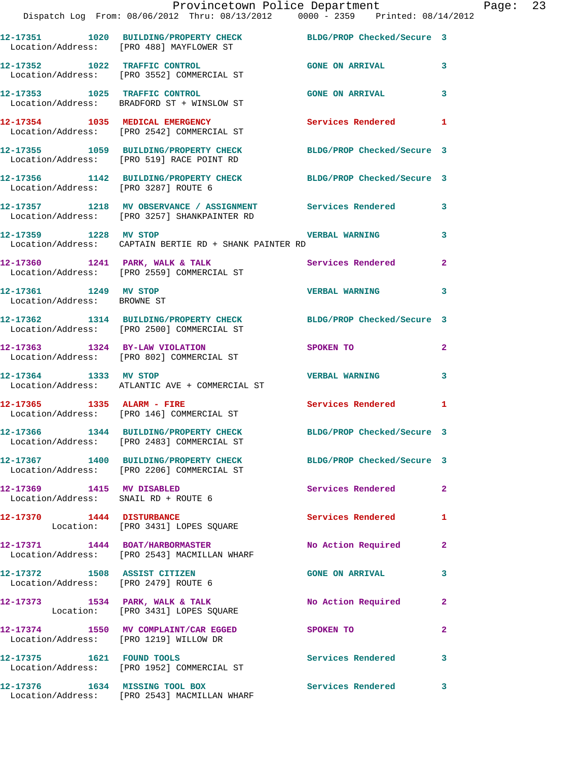|                                                      | Provincetown Police Department The Rage: 23<br>Dispatch Log From: 08/06/2012 Thru: 08/13/2012 0000 - 2359 Printed: 08/14/2012                                           |                                           |              |  |
|------------------------------------------------------|-------------------------------------------------------------------------------------------------------------------------------------------------------------------------|-------------------------------------------|--------------|--|
|                                                      |                                                                                                                                                                         |                                           |              |  |
|                                                      | 12-17351 1020 BUILDING/PROPERTY CHECK BLDG/PROP Checked/Secure 3<br>Location/Address: [PRO 488] MAYFLOWER ST                                                            |                                           |              |  |
|                                                      | 12-17352 1022 TRAFFIC CONTROL GONE ON ARRIVAL 3<br>Location/Address: [PRO 3552] COMMERCIAL ST                                                                           |                                           |              |  |
|                                                      | 12-17353 1025 TRAFFIC CONTROL<br>Location/Address: BRADFORD ST + WINSLOW ST                                                                                             | GONE ON ARRIVAL 3                         |              |  |
|                                                      | 12-17354 1035 MEDICAL EMERGENCY Services Rendered 1<br>Location/Address: [PRO 2542] COMMERCIAL ST                                                                       |                                           |              |  |
|                                                      | 12-17355 1059 BUILDING/PROPERTY CHECK BLDG/PROP Checked/Secure 3<br>Location/Address: [PRO 519] RACE POINT RD                                                           |                                           |              |  |
| Location/Address: [PRO 3287] ROUTE 6                 | 12-17356 1142 BUILDING/PROPERTY CHECK BLDG/PROP Checked/Secure 3                                                                                                        |                                           |              |  |
|                                                      | 12-17357 1218 MV OBSERVANCE / ASSIGNMENT Services Rendered 3<br>Location/Address: [PRO 3257] SHANKPAINTER RD                                                            |                                           |              |  |
|                                                      | 12-17359 1228 MV STOP 120 2008 2009 2014 2020 2031 2040 2051 2052 2053 2054 2055 2056 2057 2058 2059 2059 205<br>Location/Address: CAPTAIN BERTIE RD + SHANK PAINTER RD |                                           | 3            |  |
|                                                      | 12-17360 1241 PARK, WALK & TALK (Services Rendered 2)<br>Location/Address: [PRO 2559] COMMERCIAL ST                                                                     |                                           |              |  |
| 12-17361 1249 MV STOP<br>Location/Address: BROWNE ST |                                                                                                                                                                         | <b>VERBAL WARNING</b>                     | $\mathbf{3}$ |  |
|                                                      | 12-17362 1314 BUILDING/PROPERTY CHECK BLDG/PROP Checked/Secure 3<br>Location/Address: [PRO 2500] COMMERCIAL ST                                                          |                                           |              |  |
|                                                      | 12-17363 1324 BY-LAW VIOLATION<br>Location/Address: [PRO 802] COMMERCIAL ST                                                                                             | SPOKEN TO THE STRIKE STRIKE STRIKE STRIKE | $\mathbf{2}$ |  |
| 12-17364 1333 MV STOP                                | Location/Address: ATLANTIC AVE + COMMERCIAL ST                                                                                                                          | <b>VERBAL WARNING</b>                     | 3            |  |
|                                                      | 12-17365   1335   ALARM - FIRE<br>Location/Address: [PRO 146] COMMERCIAL ST                                                                                             | Services Rendered 1                       |              |  |
|                                                      | 12-17366 1344 BUILDING/PROPERTY CHECK BLDG/PROP Checked/Secure 3<br>Location/Address: [PRO 2483] COMMERCIAL ST                                                          |                                           |              |  |
|                                                      | 12-17367 1400 BUILDING/PROPERTY CHECK BLDG/PROP Checked/Secure 3<br>Location/Address: [PRO 2206] COMMERCIAL ST                                                          |                                           |              |  |
| 12-17369 1415 MV DISABLED                            | Location/Address: SNAIL RD + ROUTE 6                                                                                                                                    | Services Rendered 2                       |              |  |
|                                                      | 12-17370 1444 DISTURBANCE<br>Location: [PRO 3431] LOPES SQUARE                                                                                                          | Services Rendered                         | 1            |  |
|                                                      | 12-17371 1444 BOAT/HARBORMASTER<br>Location/Address: [PRO 2543] MACMILLAN WHARF                                                                                         | No Action Required 2                      |              |  |
| Location/Address: [PRO 2479] ROUTE 6                 | 12-17372 1508 ASSIST CITIZEN                                                                                                                                            | <b>GONE ON ARRIVAL</b>                    | 3            |  |
|                                                      | 12-17373 1534 PARK, WALK & TALK<br>Location: [PRO 3431] LOPES SQUARE                                                                                                    | No Action Required                        | $\mathbf{2}$ |  |
|                                                      | 12-17374 1550 MV COMPLAINT/CAR EGGED SPOKEN TO<br>Location/Address: [PRO 1219] WILLOW DR                                                                                |                                           | $\mathbf{2}$ |  |
|                                                      | 12-17375 1621 FOUND TOOLS<br>Location/Address: [PRO 1952] COMMERCIAL ST                                                                                                 | Services Rendered                         | 3            |  |
|                                                      | 12-17376 1634 MISSING TOOL BOX<br>Location/Address: [PRO 2543] MACMILLAN WHARF                                                                                          | Services Rendered 3                       |              |  |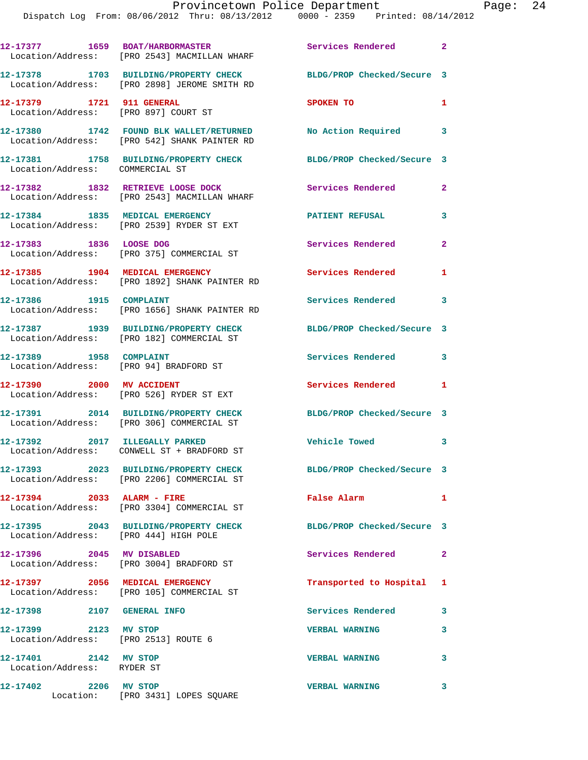|                                                                   | 12-17377 1659 BOAT/HARBORMASTER<br>Location/Address: [PRO 2543] MACMILLAN WHARF         | Services Rendered 2        |              |
|-------------------------------------------------------------------|-----------------------------------------------------------------------------------------|----------------------------|--------------|
|                                                                   | 12-17378 1703 BUILDING/PROPERTY CHECK<br>Location/Address: [PRO 2898] JEROME SMITH RD   | BLDG/PROP Checked/Secure 3 |              |
| 12-17379 1721 911 GENERAL<br>Location/Address: [PRO 897] COURT ST |                                                                                         | SPOKEN TO                  | 1            |
|                                                                   | 12-17380 1742 FOUND BLK WALLET/RETURNED<br>Location/Address: [PRO 542] SHANK PAINTER RD | No Action Required 3       |              |
| Location/Address: COMMERCIAL ST                                   | 12-17381 1758 BUILDING/PROPERTY CHECK                                                   | BLDG/PROP Checked/Secure 3 |              |
|                                                                   | 12-17382 1832 RETRIEVE LOOSE DOCK<br>Location/Address: [PRO 2543] MACMILLAN WHARF       | Services Rendered          | $\mathbf{2}$ |
|                                                                   | 12-17384 1835 MEDICAL EMERGENCY<br>Location/Address: [PRO 2539] RYDER ST EXT            | <b>PATIENT REFUSAL</b>     | 3            |
| 12-17383 1836 LOOSE DOG                                           | Location/Address: [PRO 375] COMMERCIAL ST                                               | Services Rendered          | $\mathbf{2}$ |
|                                                                   | 12-17385 1904 MEDICAL EMERGENCY<br>Location/Address: [PRO 1892] SHANK PAINTER RD        | Services Rendered          | 1            |
| 12-17386 1915 COMPLAINT                                           | Location/Address: [PRO 1656] SHANK PAINTER RD                                           | <b>Services Rendered</b>   | 3            |
|                                                                   | 12-17387 1939 BUILDING/PROPERTY CHECK<br>Location/Address: [PRO 182] COMMERCIAL ST      | BLDG/PROP Checked/Secure 3 |              |
| 12-17389 1958 COMPLAINT<br>Location/Address: [PRO 94] BRADFORD ST |                                                                                         | Services Rendered          | 3            |
| 12-17390 2000 MV ACCIDENT                                         | Location/Address: [PRO 526] RYDER ST EXT                                                | Services Rendered          | 1            |
|                                                                   | 12-17391 2014 BUILDING/PROPERTY CHECK<br>Location/Address: [PRO 306] COMMERCIAL ST      | BLDG/PROP Checked/Secure 3 |              |
| 12-17392 2017 ILLEGALLY PARKED                                    | Location/Address: CONWELL ST + BRADFORD ST                                              | <b>Vehicle Towed</b>       | 3            |
|                                                                   | 12-17393 2023 BUILDING/PROPERTY CHECK<br>Location/Address: [PRO 2206] COMMERCIAL ST     | BLDG/PROP Checked/Secure 3 |              |
| 12-17394 2033 ALARM - FIRE                                        | Location/Address: [PRO 3304] COMMERCIAL ST                                              | False Alarm                | $\mathbf{1}$ |
| Location/Address: [PRO 444] HIGH POLE                             | 12-17395 2043 BUILDING/PROPERTY CHECK                                                   | BLDG/PROP Checked/Secure 3 |              |
| 12-17396 2045 MV DISABLED                                         | Location/Address: [PRO 3004] BRADFORD ST                                                | Services Rendered          | $\mathbf{2}$ |
|                                                                   | 12-17397 2056 MEDICAL EMERGENCY<br>Location/Address: [PRO 105] COMMERCIAL ST            | Transported to Hospital 1  |              |
| 12-17398 2107 GENERAL INFO                                        |                                                                                         | Services Rendered          | 3            |
| 12-17399 2123 MV STOP<br>Location/Address: [PRO 2513] ROUTE 6     |                                                                                         | <b>VERBAL WARNING</b>      | 3            |
| 12-17401 2142 MV STOP<br>Location/Address: RYDER ST               |                                                                                         | <b>VERBAL WARNING</b>      | 3            |
| 12-17402 2206 MV STOP                                             | Location: [PRO 3431] LOPES SQUARE                                                       | <b>VERBAL WARNING</b>      | 3            |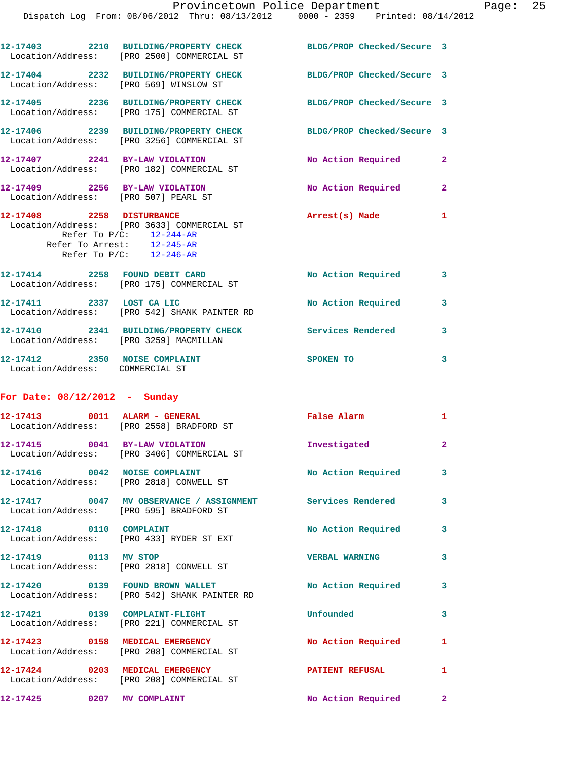Dispatch Log From: 08/06/2012 Thru: 08/13/2012 0000 - 2359 Printed: 08/14/2012

|                                                                  | 12-17403 2210 BUILDING/PROPERTY CHECK BLDG/PROP Checked/Secure 3<br>Location/Address: [PRO 2500] COMMERCIAL ST                                                |                            |                            |
|------------------------------------------------------------------|---------------------------------------------------------------------------------------------------------------------------------------------------------------|----------------------------|----------------------------|
| Location/Address: [PRO 569] WINSLOW ST                           | 12-17404 2232 BUILDING/PROPERTY CHECK BLDG/PROP Checked/Secure 3                                                                                              |                            |                            |
|                                                                  | 12-17405 2236 BUILDING/PROPERTY CHECK BLDG/PROP Checked/Secure 3<br>Location/Address: [PRO 175] COMMERCIAL ST                                                 |                            |                            |
|                                                                  | 12-17406 2239 BUILDING/PROPERTY CHECK<br>Location/Address: [PRO 3256] COMMERCIAL ST                                                                           | BLDG/PROP Checked/Secure 3 |                            |
|                                                                  | 12-17407 2241 BY-LAW VIOLATION<br>Location/Address: [PRO 182] COMMERCIAL ST                                                                                   | No Action Required 2       |                            |
| 12-17409 2256 BY-LAW VIOLATION                                   | Location/Address: [PRO 507] PEARL ST                                                                                                                          | No Action Required 2       |                            |
| 12-17408 2258 DISTURBANCE                                        | Location/Address: [PRO 3633] COMMERCIAL ST<br>Refer To $P/C$ : $\frac{12-244-AR}{1}$<br>Refer To Arrest: 12-245-AR<br>Refer To $P/C$ : $\overline{12-246-AR}$ | Arrest(s) Made             | $\mathbf{1}$               |
|                                                                  | 12-17414 2258 FOUND DEBIT CARD<br>Location/Address: [PRO 175] COMMERCIAL ST                                                                                   | No Action Required 3       |                            |
|                                                                  | 12-17411 2337 LOST CA LIC<br>Location/Address: [PRO 542] SHANK PAINTER RD                                                                                     | No Action Required         | 3                          |
| Location/Address: [PRO 3259] MACMILLAN                           | 12-17410 2341 BUILDING/PROPERTY CHECK                                                                                                                         | Services Rendered          | $\overline{\phantom{a}}$ 3 |
| 12-17412 2350 NOISE COMPLAINT<br>Location/Address: COMMERCIAL ST |                                                                                                                                                               | SPOKEN TO                  | 3                          |
| For Date: $08/12/2012 -$ Sunday                                  |                                                                                                                                                               |                            |                            |
|                                                                  | 12-17413 0011 ALARM - GENERAL<br>Location/Address: [PRO 2558] BRADFORD ST                                                                                     | False Alarm                | $\mathbf{1}$               |
|                                                                  | 12-17415 0041 BY-LAW VIOLATION<br>Location/Address: [PRO 3406] COMMERCIAL ST                                                                                  | Investigated               | $\overline{\mathbf{2}}$    |
| Location/Address: [PRO 2818] CONWELL ST                          | 12-17416 0042 NOISE COMPLAINT                                                                                                                                 | No Action Required         | $\mathbf{3}$               |
| Location/Address: [PRO 595] BRADFORD ST                          | 12-17417 0047 MV OBSERVANCE / ASSIGNMENT Services Rendered                                                                                                    |                            | $\mathbf{3}$               |
| 12-17418 0110 COMPLAINT                                          | Location/Address: [PRO 433] RYDER ST EXT                                                                                                                      | No Action Required         | 3                          |
| 12-17419 0113 MV STOP                                            | Location/Address: [PRO 2818] CONWELL ST                                                                                                                       | <b>VERBAL WARNING</b>      | 3                          |
|                                                                  | 12-17420 0139 FOUND BROWN WALLET<br>Location/Address: [PRO 542] SHANK PAINTER RD                                                                              | No Action Required         | 3                          |
| 12-17421 0139 COMPLAINT-FLIGHT                                   | Location/Address: [PRO 221] COMMERCIAL ST                                                                                                                     | Unfounded                  | 3                          |
|                                                                  | 12-17423 0158 MEDICAL EMERGENCY<br>Location/Address: [PRO 208] COMMERCIAL ST                                                                                  | No Action Required         | 1                          |
| 12-17424 0203 MEDICAL EMERGENCY                                  | Location/Address: [PRO 208] COMMERCIAL ST                                                                                                                     | <b>PATIENT REFUSAL</b>     | 1                          |

**12-17425 0207 MV COMPLAINT No Action Required 2**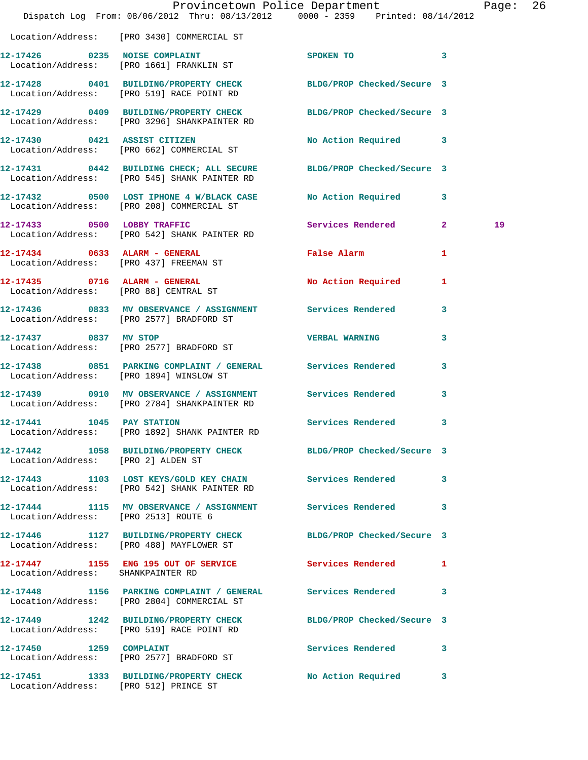|                                      | Dispatch Log From: 08/06/2012 Thru: 08/13/2012 0000 - 2359 Printed: 08/14/2012                                      | Provincetown Police Department |              | Page: 26 |  |
|--------------------------------------|---------------------------------------------------------------------------------------------------------------------|--------------------------------|--------------|----------|--|
|                                      | Location/Address: [PRO 3430] COMMERCIAL ST                                                                          |                                |              |          |  |
|                                      | 12-17426 0235 NOISE COMPLAINT<br>Location/Address: [PRO 1661] FRANKLIN ST                                           | SPOKEN TO 3                    |              |          |  |
|                                      | 12-17428 0401 BUILDING/PROPERTY CHECK BLDG/PROP Checked/Secure 3<br>Location/Address: [PRO 519] RACE POINT RD       |                                |              |          |  |
|                                      | 12-17429 0409 BUILDING/PROPERTY CHECK BLDG/PROP Checked/Secure 3<br>Location/Address: [PRO 3296] SHANKPAINTER RD    |                                |              |          |  |
|                                      | 12-17430 0421 ASSIST CITIZEN<br>Location/Address: [PRO 662] COMMERCIAL ST                                           | No Action Required 3           |              |          |  |
|                                      | 12-17431 0442 BUILDING CHECK; ALL SECURE BLDG/PROP Checked/Secure 3<br>Location/Address: [PRO 545] SHANK PAINTER RD |                                |              |          |  |
|                                      | 12-17432 0500 LOST IPHONE 4 W/BLACK CASE No Action Required 3<br>Location/Address: [PRO 208] COMMERCIAL ST          |                                |              |          |  |
|                                      | 12-17433 0500 LOBBY TRAFFIC Services Rendered 2<br>Location/Address: [PRO 542] SHANK PAINTER RD                     |                                |              | 19       |  |
|                                      | 12-17434 0633 ALARM - GENERAL<br>Location/Address: [PRO 437] FREEMAN ST                                             | False Alarm                    | $\mathbf{1}$ |          |  |
|                                      | 12-17435 0716 ALARM - GENERAL<br>Location/Address: [PRO 88] CENTRAL ST                                              | No Action Required 1           |              |          |  |
|                                      | 12-17436 0833 MV OBSERVANCE / ASSIGNMENT Services Rendered 3<br>Location/Address: [PRO 2577] BRADFORD ST            |                                |              |          |  |
| 12-17437 0837 MV STOP                | Location/Address: [PRO 2577] BRADFORD ST                                                                            | <b>VERBAL WARNING</b>          | 3            |          |  |
|                                      | 12-17438 0851 PARKING COMPLAINT / GENERAL Services Rendered<br>Location/Address: [PRO 1894] WINSLOW ST              |                                | 3            |          |  |
|                                      | 12-17439 0910 MV OBSERVANCE / ASSIGNMENT Services Rendered 3<br>Location/Address: [PRO 2784] SHANKPAINTER RD        |                                |              |          |  |
| 12-17441 1045 PAY STATION            | Location/Address: [PRO 1892] SHANK PAINTER RD                                                                       | Services Rendered              | 3            |          |  |
| Location/Address: [PRO 2] ALDEN ST   | 12-17442 1058 BUILDING/PROPERTY CHECK BLDG/PROP Checked/Secure 3                                                    |                                |              |          |  |
|                                      | 12-17443 1103 LOST KEYS/GOLD KEY CHAIN Services Rendered<br>Location/Address: [PRO 542] SHANK PAINTER RD            |                                | 3            |          |  |
| Location/Address: [PRO 2513] ROUTE 6 | 12-17444 1115 MV OBSERVANCE / ASSIGNMENT Services Rendered 3                                                        |                                |              |          |  |
|                                      | 12-17446 1127 BUILDING/PROPERTY CHECK BLDG/PROP Checked/Secure 3<br>Location/Address: [PRO 488] MAYFLOWER ST        |                                |              |          |  |
| Location/Address: SHANKPAINTER RD    | 12-17447 1155 ENG 195 OUT OF SERVICE Services Rendered 1                                                            |                                |              |          |  |
|                                      | 12-17448 1156 PARKING COMPLAINT / GENERAL Services Rendered<br>Location/Address: [PRO 2804] COMMERCIAL ST           |                                | 3            |          |  |
|                                      | 12-17449 1242 BUILDING/PROPERTY CHECK BLDG/PROP Checked/Secure 3<br>Location/Address: [PRO 519] RACE POINT RD       |                                |              |          |  |
|                                      | 12-17450 1259 COMPLAINT<br>Location/Address: [PRO 2577] BRADFORD ST                                                 | Services Rendered              | 3            |          |  |
|                                      | 12-17451 1333 BUILDING/PROPERTY CHECK No Action Required 3<br>Location/Address: [PRO 512] PRINCE ST                 |                                |              |          |  |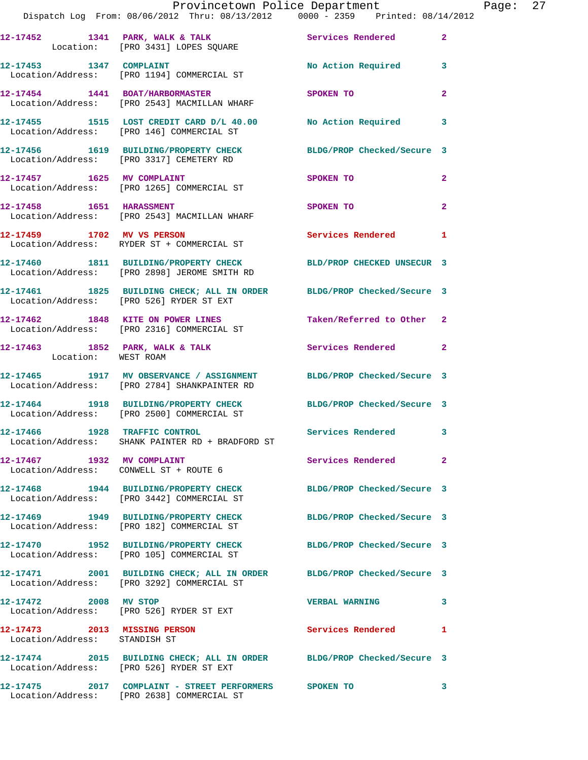|                               | Provincetown Police Department The Page: 27<br>Dispatch Log From: 08/06/2012 Thru: 08/13/2012   0000 - 2359   Printed: 08/14/2012 |                          |                |
|-------------------------------|-----------------------------------------------------------------------------------------------------------------------------------|--------------------------|----------------|
|                               | 12-17452 1341 PARK, WALK & TALK Services Rendered 2<br>Location: [PRO 3431] LOPES SQUARE                                          |                          |                |
|                               | 12-17453 1347 COMPLAINT<br>Location/Address: [PRO 1194] COMMERCIAL ST                                                             | No Action Required 3     |                |
|                               | 12-17454 1441 BOAT/HARBORMASTER SPOKEN TO<br>Location/Address: [PRO 2543] MACMILLAN WHARF                                         |                          | $\mathbf{2}$   |
|                               |                                                                                                                                   |                          |                |
|                               | 12-17456 1619 BUILDING/PROPERTY CHECK BLDG/PROP Checked/Secure 3<br>Location/Address: [PRO 3317] CEMETERY RD                      |                          |                |
|                               | 12-17457 1625 MV COMPLAINT<br>Location/Address: [PRO 1265] COMMERCIAL ST                                                          | SPOKEN TO                | $\overline{2}$ |
|                               | 12-17458 1651 HARASSMENT<br>Location/Address: [PRO 2543] MACMILLAN WHARF                                                          | SPOKEN TO                | $\mathbf{2}$   |
|                               | 12-17459 1702 MV VS PERSON Services Rendered<br>Location/Address: RYDER ST + COMMERCIAL ST                                        |                          | $\mathbf{1}$   |
|                               | 12-17460 1811 BUILDING/PROPERTY CHECK BLD/PROP CHECKED UNSECUR 3<br>Location/Address: [PRO 2898] JEROME SMITH RD                  |                          |                |
|                               | 12-17461 1825 BUILDING CHECK; ALL IN ORDER BLDG/PROP Checked/Secure 3<br>Location/Address: [PRO 526] RYDER ST EXT                 |                          |                |
|                               | 12-17462 1848 KITE ON POWER LINES Taken/Referred to Other 2<br>Location/Address: [PRO 2316] COMMERCIAL ST                         |                          |                |
| Location: WEST ROAM           | 12-17463 1852 PARK, WALK & TALK 1999 Services Rendered 2                                                                          |                          |                |
|                               | 12-17465 1917 MV OBSERVANCE / ASSIGNMENT BLDG/PROP Checked/Secure 3<br>Location/Address: [PRO 2784] SHANKPAINTER RD               |                          |                |
|                               | 12-17464 1918 BUILDING/PROPERTY CHECK BLDG/PROP Checked/Secure 3<br>Location/Address: [PRO 2500] COMMERCIAL ST                    |                          |                |
| 12-17466 1928 TRAFFIC CONTROL | Location/Address: SHANK PAINTER RD + BRADFORD ST                                                                                  | <b>Services Rendered</b> |                |
| 12-17467 1932 MV COMPLAINT    | Location/Address: CONWELL ST + ROUTE 6                                                                                            | Services Rendered        | $\mathbf{2}$   |
|                               | 12-17468 1944 BUILDING/PROPERTY CHECK BLDG/PROP Checked/Secure 3<br>Location/Address: [PRO 3442] COMMERCIAL ST                    |                          |                |
|                               | 12-17469 1949 BUILDING/PROPERTY CHECK BLDG/PROP Checked/Secure 3<br>Location/Address: [PRO 182] COMMERCIAL ST                     |                          |                |
|                               | 12-17470 1952 BUILDING/PROPERTY CHECK BLDG/PROP Checked/Secure 3<br>Location/Address: [PRO 105] COMMERCIAL ST                     |                          |                |
|                               | 12-17471 2001 BUILDING CHECK; ALL IN ORDER BLDG/PROP Checked/Secure 3<br>Location/Address: [PRO 3292] COMMERCIAL ST               |                          |                |
| 12-17472 2008 MV STOP         | Location/Address: [PRO 526] RYDER ST EXT                                                                                          | VERBAL WARNING 3         |                |
| Location/Address: STANDISH ST | 12-17473 2013 MISSING PERSON                                                                                                      | <b>Services Rendered</b> | 1              |
|                               | 12-17474 2015 BUILDING CHECK; ALL IN ORDER BLDG/PROP Checked/Secure 3<br>Location/Address: [PRO 526] RYDER ST EXT                 |                          |                |
|                               | 12-17475  2017  COMPLAINT - STREET PERFORMERS  SPOKEN TO                                                                          |                          | - 3            |

Location/Address: [PRO 2638] COMMERCIAL ST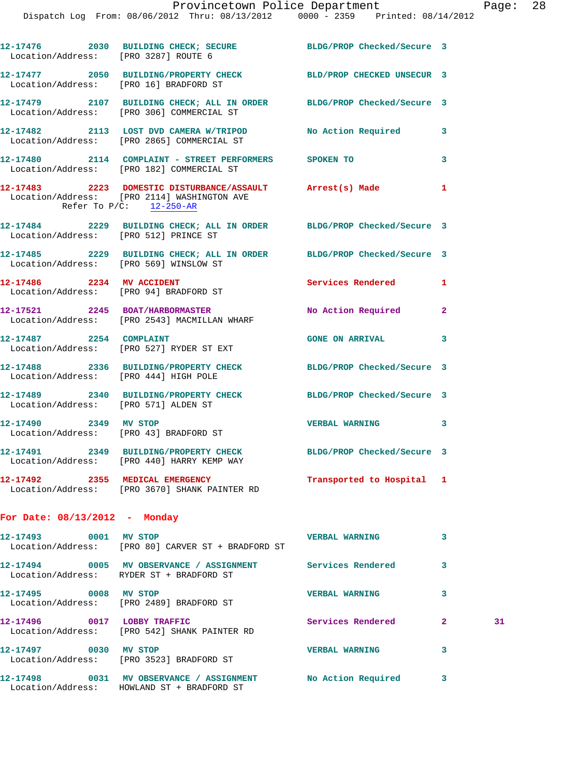Dispatch Log From: 08/06/2012 Thru: 08/13/2012 0000 - 2359 Printed: 08/14/2012

| Location/Address: [PRO 3287] ROUTE 6   | 12-17476 2030 BUILDING CHECK; SECURE BLDG/PROP Checked/Secure 3                                                    |                       |              |    |
|----------------------------------------|--------------------------------------------------------------------------------------------------------------------|-----------------------|--------------|----|
| Location/Address: [PRO 16] BRADFORD ST | 12-17477 2050 BUILDING/PROPERTY CHECK BLD/PROP CHECKED UNSECUR 3                                                   |                       |              |    |
|                                        | 12-17479 2107 BUILDING CHECK; ALL IN ORDER BLDG/PROP Checked/Secure 3<br>Location/Address: [PRO 306] COMMERCIAL ST |                       |              |    |
|                                        | 12-17482 2113 LOST DVD CAMERA W/TRIPOD No Action Required 3<br>Location/Address: [PRO 2865] COMMERCIAL ST          |                       |              |    |
|                                        | 12-17480 2114 COMPLAINT - STREET PERFORMERS SPOKEN TO<br>Location/Address: [PRO 182] COMMERCIAL ST                 |                       | 3            |    |
| Refer To $P/C$ : 12-250-AR             | 12-17483 2223 DOMESTIC DISTURBANCE/ASSAULT Arrest(s) Made<br>Location/Address: [PRO 2114] WASHINGTON AVE           |                       | $\mathbf{1}$ |    |
| Location/Address: [PRO 512] PRINCE ST  | 12-17484 2229 BUILDING CHECK; ALL IN ORDER BLDG/PROP Checked/Secure 3                                              |                       |              |    |
| Location/Address: [PRO 569] WINSLOW ST | 12-17485 2229 BUILDING CHECK; ALL IN ORDER BLDG/PROP Checked/Secure 3                                              |                       |              |    |
| 12-17486 2234 MV ACCIDENT              | Location/Address: [PRO 94] BRADFORD ST                                                                             | Services Rendered     | 1            |    |
|                                        | 12-17521 2245 BOAT/HARBORMASTER<br>Location/Address: [PRO 2543] MACMILLAN WHARF                                    | No Action Required    | $\mathbf{2}$ |    |
|                                        | 12-17487 2254 COMPLAINT<br>Location/Address: [PRO 527] RYDER ST EXT                                                | GONE ON ARRIVAL 3     |              |    |
| Location/Address: [PRO 444] HIGH POLE  | 12-17488 2336 BUILDING/PROPERTY CHECK BLDG/PROP Checked/Secure 3                                                   |                       |              |    |
| Location/Address: [PRO 571] ALDEN ST   | 12-17489 2340 BUILDING/PROPERTY CHECK BLDG/PROP Checked/Secure 3                                                   |                       |              |    |
|                                        | 12-17490 2349 MV STOP<br>Location/Address: [PRO 43] BRADFORD ST                                                    | <b>VERBAL WARNING</b> | 3            |    |
|                                        | 12-17491 2349 BUILDING/PROPERTY CHECK BLDG/PROP Checked/Secure 3<br>Location/Address: [PRO 440] HARRY KEMP WAY     |                       |              |    |
|                                        | 12-17492 2355 MEDICAL EMERGENCY Transported to Hospital 1<br>Location/Address: [PRO 3670] SHANK PAINTER RD         |                       |              |    |
| For Date: $08/13/2012$ - Monday        |                                                                                                                    |                       |              |    |
| 12-17493 0001 MV STOP                  | Location/Address: [PRO 80] CARVER ST + BRADFORD ST                                                                 | <b>VERBAL WARNING</b> | 3            |    |
|                                        | 12-17494 0005 MV OBSERVANCE / ASSIGNMENT Services Rendered<br>Location/Address: RYDER ST + BRADFORD ST             |                       | 3            |    |
| 12-17495 0008 MV STOP                  | Location/Address: [PRO 2489] BRADFORD ST                                                                           | <b>VERBAL WARNING</b> | 3            |    |
|                                        | 12-17496 0017 LOBBY TRAFFIC<br>Location/Address: [PRO 542] SHANK PAINTER RD                                        | Services Rendered     | $\mathbf{2}$ | 31 |
| 12-17497 0030 MV STOP                  | Location/Address: [PRO 3523] BRADFORD ST                                                                           | <b>VERBAL WARNING</b> | 3            |    |
|                                        | 12-17498 0031 MV OBSERVANCE / ASSIGNMENT NO Action Required 3<br>Location/Address: HOWLAND ST + BRADFORD ST        |                       |              |    |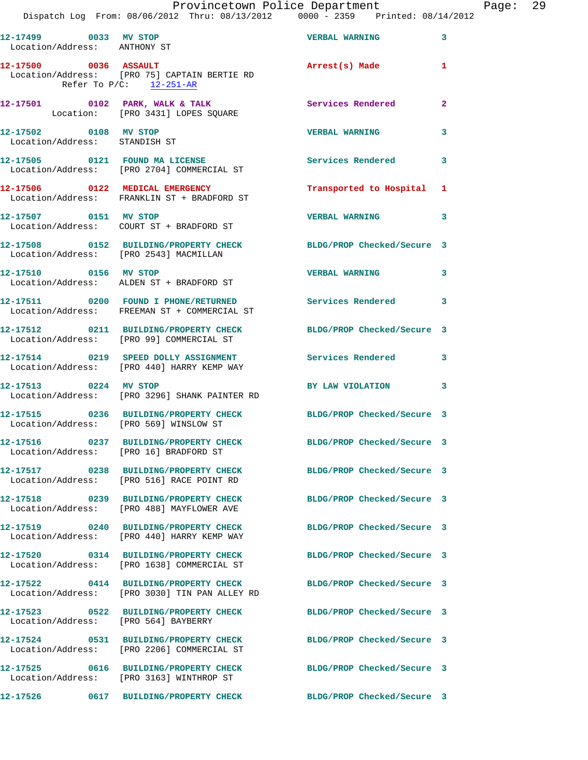|                                                        | Provincetown Police Department<br>Dispatch Log From: 08/06/2012 Thru: 08/13/2012 0000 - 2359 Printed: 08/14/2012  |                            | Page: 29                |
|--------------------------------------------------------|-------------------------------------------------------------------------------------------------------------------|----------------------------|-------------------------|
| Location/Address: ANTHONY ST                           | 12-17499 0033 MV STOP VERBAL WARNING                                                                              |                            | 3                       |
| Refer To $P/C$ : 12-251-AR                             | 12-17500 0036 ASSAULT 2000 Arrest(s) Made<br>Location/Address: [PRO 75] CAPTAIN BERTIE RD                         |                            | 1                       |
|                                                        | 12-17501 0102 PARK, WALK & TALK 2003 Services Rendered Location: [PRO 3431] LOPES SQUARE                          |                            | $\overline{2}$          |
| 12-17502 0108 MV STOP<br>Location/Address: STANDISH ST |                                                                                                                   | <b>VERBAL WARNING</b>      | 3                       |
|                                                        | 12-17505 0121 FOUND MA LICENSE<br>Location/Address: [PRO 2704] COMMERCIAL ST                                      | Services Rendered          | 3                       |
|                                                        | 12-17506 0122 MEDICAL EMERGENCY<br>Location/Address: FRANKLIN ST + BRADFORD ST                                    | Transported to Hospital 1  |                         |
| 12-17507 0151 MV STOP                                  | Location/Address: COURT ST + BRADFORD ST                                                                          | <b>VERBAL WARNING</b>      | $\overline{\mathbf{3}}$ |
|                                                        | 12-17508 0152 BUILDING/PROPERTY CHECK BLDG/PROP Checked/Secure 3<br>Location/Address: [PRO 2543] MACMILLAN        |                            |                         |
| 12-17510 0156 MV STOP                                  | Location/Address: ALDEN ST + BRADFORD ST                                                                          | <b>VERBAL WARNING</b>      | $\overline{\mathbf{3}}$ |
|                                                        | 12-17511 0200 FOUND I PHONE/RETURNED Services Rendered 3<br>Location/Address: FREEMAN ST + COMMERCIAL ST          |                            |                         |
|                                                        | 12-17512 0211 BUILDING/PROPERTY CHECK BLDG/PROP Checked/Secure 3<br>Location/Address: [PRO 99] COMMERCIAL ST      |                            |                         |
|                                                        | 12-17514 0219 SPEED DOLLY ASSIGNMENT Services Rendered<br>Location/Address: [PRO 440] HARRY KEMP WAY              |                            | $\mathbf{3}$            |
| 12-17513 0224 MV STOP                                  | Location/Address: [PRO 3296] SHANK PAINTER RD                                                                     | BY LAW VIOLATION           | 3                       |
|                                                        | 12-17515 0236 BUILDING/PROPERTY CHECK BLDG/PROP Checked/Secure 3<br>Location/Address: [PRO 569] WINSLOW ST        |                            |                         |
| Location/Address: [PRO 16] BRADFORD ST                 | 12-17516 0237 BUILDING/PROPERTY CHECK BLDG/PROP Checked/Secure 3                                                  |                            |                         |
|                                                        | 12-17517 0238 BUILDING/PROPERTY CHECK BLDG/PROP Checked/Secure 3<br>Location/Address: [PRO 516] RACE POINT RD     |                            |                         |
|                                                        | 12-17518 0239 BUILDING/PROPERTY CHECK BLDG/PROP Checked/Secure 3<br>Location/Address: [PRO 488] MAYFLOWER AVE     |                            |                         |
|                                                        | 12-17519 0240 BUILDING/PROPERTY CHECK<br>Location/Address: [PRO 440] HARRY KEMP WAY                               | BLDG/PROP Checked/Secure 3 |                         |
|                                                        | 12-17520 0314 BUILDING/PROPERTY CHECK BLDG/PROP Checked/Secure 3<br>Location/Address: [PRO 1638] COMMERCIAL ST    |                            |                         |
|                                                        | 12-17522 0414 BUILDING/PROPERTY CHECK BLDG/PROP Checked/Secure 3<br>Location/Address: [PRO 3030] TIN PAN ALLEY RD |                            |                         |
| Location/Address: [PRO 564] BAYBERRY                   | 12-17523 0522 BUILDING/PROPERTY CHECK BLDG/PROP Checked/Secure 3                                                  |                            |                         |
|                                                        | 12-17524 0531 BUILDING/PROPERTY CHECK BLDG/PROP Checked/Secure 3<br>Location/Address: [PRO 2206] COMMERCIAL ST    |                            |                         |
|                                                        | 12-17525 0616 BUILDING/PROPERTY CHECK<br>Location/Address: [PRO 3163] WINTHROP ST                                 | BLDG/PROP Checked/Secure 3 |                         |
|                                                        | 12-17526      0617  BUILDING/PROPERTY CHECK        BLDG/PROP Checked/Secure 3                                     |                            |                         |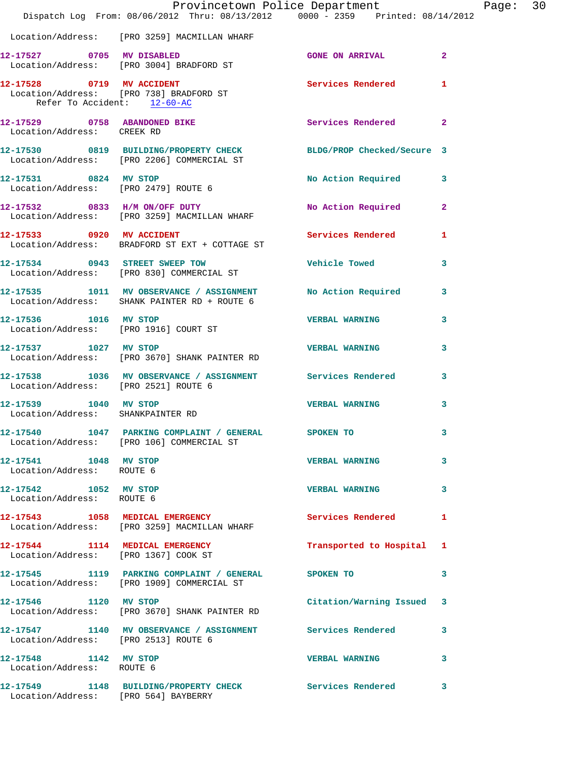|                                                            | Provincetown Police Department The Rage: 30<br>Dispatch Log From: 08/06/2012 Thru: 08/13/2012 0000 - 2359 Printed: 08/14/2012 |                           |              |  |
|------------------------------------------------------------|-------------------------------------------------------------------------------------------------------------------------------|---------------------------|--------------|--|
|                                                            | Location/Address: [PRO 3259] MACMILLAN WHARF                                                                                  |                           |              |  |
|                                                            | 12-17527 0705 MV DISABLED<br>Location/Address: [PRO 3004] BRADFORD ST                                                         | GONE ON ARRIVAL 2         |              |  |
| Refer To Accident: 12-60-AC                                | 12-17528 0719 MV ACCIDENT<br>Location/Address: [PRO 738] BRADFORD ST                                                          | <b>Services Rendered</b>  | 1            |  |
| Location/Address: CREEK RD                                 | 12-17529 0758 ABANDONED BIKE Services Rendered                                                                                |                           | $\mathbf{2}$ |  |
|                                                            | 12-17530 0819 BUILDING/PROPERTY CHECK BLDG/PROP Checked/Secure 3<br>Location/Address: [PRO 2206] COMMERCIAL ST                |                           |              |  |
|                                                            | 12-17531 0824 MV STOP<br>Location/Address: [PRO 2479] ROUTE 6                                                                 | No Action Required 3      |              |  |
|                                                            | 12-17532 0833 H/M ON/OFF DUTY<br>Location/Address: [PRO 3259] MACMILLAN WHARF                                                 | No Action Required 2      |              |  |
|                                                            | 12-17533 0920 MV ACCIDENT<br>Location/Address: BRADFORD ST EXT + COTTAGE ST                                                   | <b>Services Rendered</b>  | 1            |  |
|                                                            | 12-17534 0943 STREET SWEEP TOW<br>Location/Address: [PRO 830] COMMERCIAL ST                                                   | Vehicle Towed 3           |              |  |
|                                                            | 12-17535 1011 MV OBSERVANCE / ASSIGNMENT No Action Required<br>Location/Address: SHANK PAINTER RD + ROUTE 6                   |                           | 3            |  |
| 12-17536 1016 MV STOP                                      | Location/Address: [PRO 1916] COURT ST                                                                                         | <b>VERBAL WARNING</b>     | 3            |  |
|                                                            | 12-17537 1027 MV STOP 12-17537<br>Location/Address: [PRO 3670] SHANK PAINTER RD                                               |                           | 3            |  |
| Location/Address: [PRO 2521] ROUTE 6                       | 12-17538 1036 MV OBSERVANCE / ASSIGNMENT Services Rendered 3                                                                  |                           |              |  |
| 12-17539 1040 MV STOP<br>Location/Address: SHANKPAINTER RD |                                                                                                                               | <b>VERBAL WARNING</b>     | 3            |  |
|                                                            | 12-17540 1047 PARKING COMPLAINT / GENERAL<br>Location/Address: [PRO 106] COMMERCIAL ST                                        | <b>SPOKEN TO</b>          |              |  |
| 12-17541 1048 MV STOP<br>Location/Address: ROUTE 6         |                                                                                                                               | <b>VERBAL WARNING</b>     | 3            |  |
| 12-17542 1052 MV STOP<br>Location/Address: ROUTE 6         |                                                                                                                               | <b>VERBAL WARNING</b>     | 3            |  |
|                                                            | 12-17543 1058 MEDICAL EMERGENCY Services Rendered<br>Location/Address: [PRO 3259] MACMILLAN WHARF                             |                           | 1            |  |
|                                                            | 12-17544 1114 MEDICAL EMERGENCY<br>Location/Address: [PRO 1367] COOK ST                                                       | Transported to Hospital 1 |              |  |
|                                                            | 12-17545 1119 PARKING COMPLAINT / GENERAL SPOKEN TO<br>Location/Address: [PRO 1909] COMMERCIAL ST                             |                           | 3            |  |
| 12-17546 1120 MV STOP                                      | Location/Address: [PRO 3670] SHANK PAINTER RD                                                                                 | Citation/Warning Issued 3 |              |  |
| Location/Address: [PRO 2513] ROUTE 6                       | 12-17547 1140 MV OBSERVANCE / ASSIGNMENT Services Rendered                                                                    |                           | 3            |  |
| 12-17548 1142 MV STOP<br>Location/Address: ROUTE 6         |                                                                                                                               | <b>VERBAL WARNING</b>     | 3            |  |
| Location/Address: [PRO 564] BAYBERRY                       | 12-17549 1148 BUILDING/PROPERTY CHECK Services Rendered                                                                       |                           | 3            |  |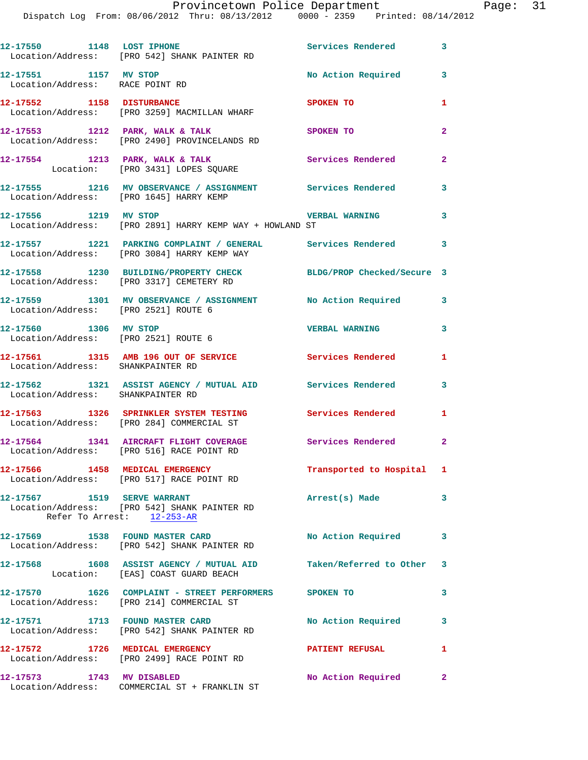Dispatch Log From: 08/06/2012 Thru: 08/13/2012 0000 - 2359 Printed: 08/14/2012

| 12-17550 1148 LOST IPHONE                                     | Location/Address: [PRO 542] SHANK PAINTER RD                                                                 | Services Rendered 3        |                          |
|---------------------------------------------------------------|--------------------------------------------------------------------------------------------------------------|----------------------------|--------------------------|
| 12-17551 1157 MV STOP<br>Location/Address: RACE POINT RD      |                                                                                                              | No Action Required 3       |                          |
| 12-17552 1158 DISTURBANCE                                     | Location/Address: [PRO 3259] MACMILLAN WHARF                                                                 | <b>SPOKEN TO</b>           | 1                        |
|                                                               | 12-17553 1212 PARK, WALK & TALK<br>Location/Address: [PRO 2490] PROVINCELANDS RD                             | <b>SPOKEN TO</b>           | $\overline{2}$           |
|                                                               | 12-17554 1213 PARK, WALK & TALK<br>Location: [PRO 3431] LOPES SQUARE                                         | <b>Services Rendered</b>   | $\overline{2}$           |
| Location/Address: [PRO 1645] HARRY KEMP                       | 12-17555 1216 MV OBSERVANCE / ASSIGNMENT Services Rendered 3                                                 |                            |                          |
| 12-17556 1219 MV STOP                                         | Location/Address: [PRO 2891] HARRY KEMP WAY + HOWLAND ST                                                     | <b>VERBAL WARNING</b>      | $\overline{\phantom{a}}$ |
|                                                               | 12-17557 1221 PARKING COMPLAINT / GENERAL Services Rendered 3<br>Location/Address: [PRO 3084] HARRY KEMP WAY |                            |                          |
|                                                               | 12-17558 1230 BUILDING/PROPERTY CHECK BLDG/PROP Checked/Secure 3<br>Location/Address: [PRO 3317] CEMETERY RD |                            |                          |
| Location/Address: [PRO 2521] ROUTE 6                          | 12-17559 1301 MV OBSERVANCE / ASSIGNMENT No Action Required                                                  |                            | $\mathbf{3}$             |
| 12-17560 1306 MV STOP<br>Location/Address: [PRO 2521] ROUTE 6 |                                                                                                              | <b>VERBAL WARNING</b>      | $\overline{\mathbf{3}}$  |
| Location/Address: SHANKPAINTER RD                             | 12-17561 1315 AMB 196 OUT OF SERVICE Services Rendered                                                       |                            | 1                        |
| Location/Address: SHANKPAINTER RD                             | 12-17562 1321 ASSIST AGENCY / MUTUAL AID Services Rendered                                                   |                            | 3                        |
|                                                               | 12-17563 1326 SPRINKLER SYSTEM TESTING<br>Location/Address: [PRO 284] COMMERCIAL ST                          | Services Rendered          | 1                        |
|                                                               | 12-17564 1341 AIRCRAFT FLIGHT COVERAGE<br>Location/Address: [PRO 516] RACE POINT RD                          | <b>Services Rendered</b> 2 |                          |
|                                                               | 12-17566 1458 MEDICAL EMERGENCY<br>Location/Address: [PRO 517] RACE POINT RD                                 | Transported to Hospital 1  |                          |
| 12-17567 1519 SERVE WARRANT                                   | Location/Address: [PRO 542] SHANK PAINTER RD<br>Refer To Arrest: 12-253-AR                                   | Arrest(s) Made             | $\overline{\mathbf{3}}$  |
|                                                               | 12-17569 1538 FOUND MASTER CARD<br>Location/Address: [PRO 542] SHANK PAINTER RD                              | No Action Required         | 3                        |
|                                                               | 12-17568 1608 ASSIST AGENCY / MUTUAL AID<br>Location: [EAS] COAST GUARD BEACH                                | Taken/Referred to Other 3  |                          |
|                                                               | 12-17570  1626  COMPLAINT - STREET PERFORMERS  SPOKEN TO<br>Location/Address: [PRO 214] COMMERCIAL ST        |                            | 3                        |
| 12-17571 1713 FOUND MASTER CARD                               | Location/Address: [PRO 542] SHANK PAINTER RD                                                                 | <b>No Action Required</b>  | 3                        |
|                                                               | 12-17572 1726 MEDICAL EMERGENCY<br>Location/Address: [PRO 2499] RACE POINT RD                                | <b>PATIENT REFUSAL</b>     | 1                        |
| 12-17573 1743 MV DISABLED                                     | Location/Address: COMMERCIAL ST + FRANKLIN ST                                                                | No Action Required 2       |                          |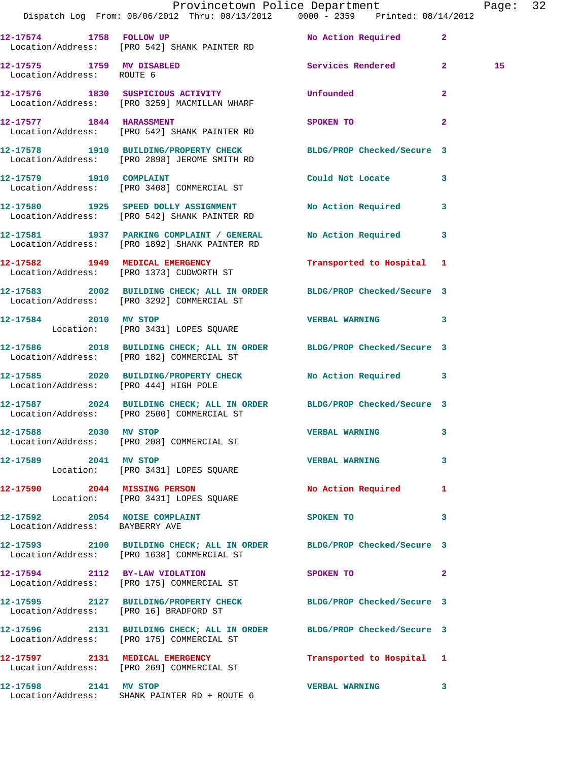|                                        | Dispatch Log From: 08/06/2012 Thru: 08/13/2012 0000 - 2359 Printed: 08/14/2012                                      | Provincetown Police Department |                | Page: 32 |  |
|----------------------------------------|---------------------------------------------------------------------------------------------------------------------|--------------------------------|----------------|----------|--|
|                                        | 12-17574 1758 FOLLOW UP<br>Location/Address: [PRO 542] SHANK PAINTER RD                                             | No Action Required 2           |                |          |  |
| Location/Address: ROUTE 6              | 12-17575 1759 MV DISABLED Services Rendered 2                                                                       |                                |                | 15       |  |
|                                        | 12-17576 1830 SUSPICIOUS ACTIVITY<br>Location/Address: [PRO 3259] MACMILLAN WHARF                                   | Unfounded                      | $\overline{2}$ |          |  |
|                                        | 12-17577 1844 HARASSMENT<br>Location/Address: [PRO 542] SHANK PAINTER RD                                            | <b>SPOKEN TO</b>               | $\mathbf{2}$   |          |  |
|                                        | 12-17578 1910 BUILDING/PROPERTY CHECK BLDG/PROP Checked/Secure 3<br>Location/Address: [PRO 2898] JEROME SMITH RD    |                                |                |          |  |
|                                        | 12-17579 1910 COMPLAINT<br>Location/Address: [PRO 3408] COMMERCIAL ST                                               | Could Not Locate 3             |                |          |  |
|                                        | 12-17580 1925 SPEED DOLLY ASSIGNMENT No Action Required 3<br>Location/Address: [PRO 542] SHANK PAINTER RD           |                                |                |          |  |
|                                        | 12-17581 1937 PARKING COMPLAINT / GENERAL<br>Location/Address: [PRO 1892] SHANK PAINTER RD                          | No Action Required 3           |                |          |  |
|                                        | 12-17582 1949 MEDICAL EMERGENCY<br>Location/Address: [PRO 1373] CUDWORTH ST                                         | Transported to Hospital 1      |                |          |  |
|                                        | 12-17583 2002 BUILDING CHECK; ALL IN ORDER BLDG/PROP Checked/Secure 3<br>Location/Address: [PRO 3292] COMMERCIAL ST |                                |                |          |  |
| 12-17584 2010 MV STOP                  | Location: [PRO 3431] LOPES SQUARE                                                                                   | <b>VERBAL WARNING 3</b>        |                |          |  |
|                                        | 12-17586 2018 BUILDING CHECK; ALL IN ORDER BLDG/PROP Checked/Secure 3<br>Location/Address: [PRO 182] COMMERCIAL ST  |                                |                |          |  |
|                                        | 12-17585 2020 BUILDING/PROPERTY CHECK No Action Required 3<br>Location/Address: [PRO 444] HIGH POLE                 |                                |                |          |  |
|                                        | 12-17587 2024 BUILDING CHECK; ALL IN ORDER BLDG/PROP Checked/Secure 3<br>Location/Address: [PRO 2500] COMMERCIAL ST |                                |                |          |  |
| 12-17588 2030 MV STOP                  | Location/Address: [PRO 208] COMMERCIAL ST                                                                           | <b>VERBAL WARNING</b>          |                |          |  |
| 12-17589 2041 MV STOP                  | Location: [PRO 3431] LOPES SQUARE                                                                                   | <b>VERBAL WARNING</b>          | $\mathbf{3}$   |          |  |
|                                        | 12-17590 2044 MISSING PERSON<br>Location: [PRO 3431] LOPES SQUARE                                                   | No Action Required 1           |                |          |  |
| Location/Address: BAYBERRY AVE         | 12-17592 2054 NOISE COMPLAINT                                                                                       | SPOKEN TO                      | 3              |          |  |
|                                        | 12-17593 2100 BUILDING CHECK; ALL IN ORDER BLDG/PROP Checked/Secure 3<br>Location/Address: [PRO 1638] COMMERCIAL ST |                                |                |          |  |
|                                        | 12-17594 2112 BY-LAW VIOLATION<br>Location/Address: [PRO 175] COMMERCIAL ST                                         | SPOKEN TO                      | $\mathbf{2}$   |          |  |
| Location/Address: [PRO 16] BRADFORD ST | 12-17595 2127 BUILDING/PROPERTY CHECK BLDG/PROP Checked/Secure 3                                                    |                                |                |          |  |
|                                        | 12-17596 2131 BUILDING CHECK; ALL IN ORDER BLDG/PROP Checked/Secure 3<br>Location/Address: [PRO 175] COMMERCIAL ST  |                                |                |          |  |
|                                        | 12-17597 2131 MEDICAL EMERGENCY<br>Location/Address: [PRO 269] COMMERCIAL ST                                        | Transported to Hospital 1      |                |          |  |
|                                        | 12-17598 2141 MV STOP<br>Location/Address: SHANK PAINTER RD + ROUTE 6                                               | <b>VERBAL WARNING</b>          | 3              |          |  |